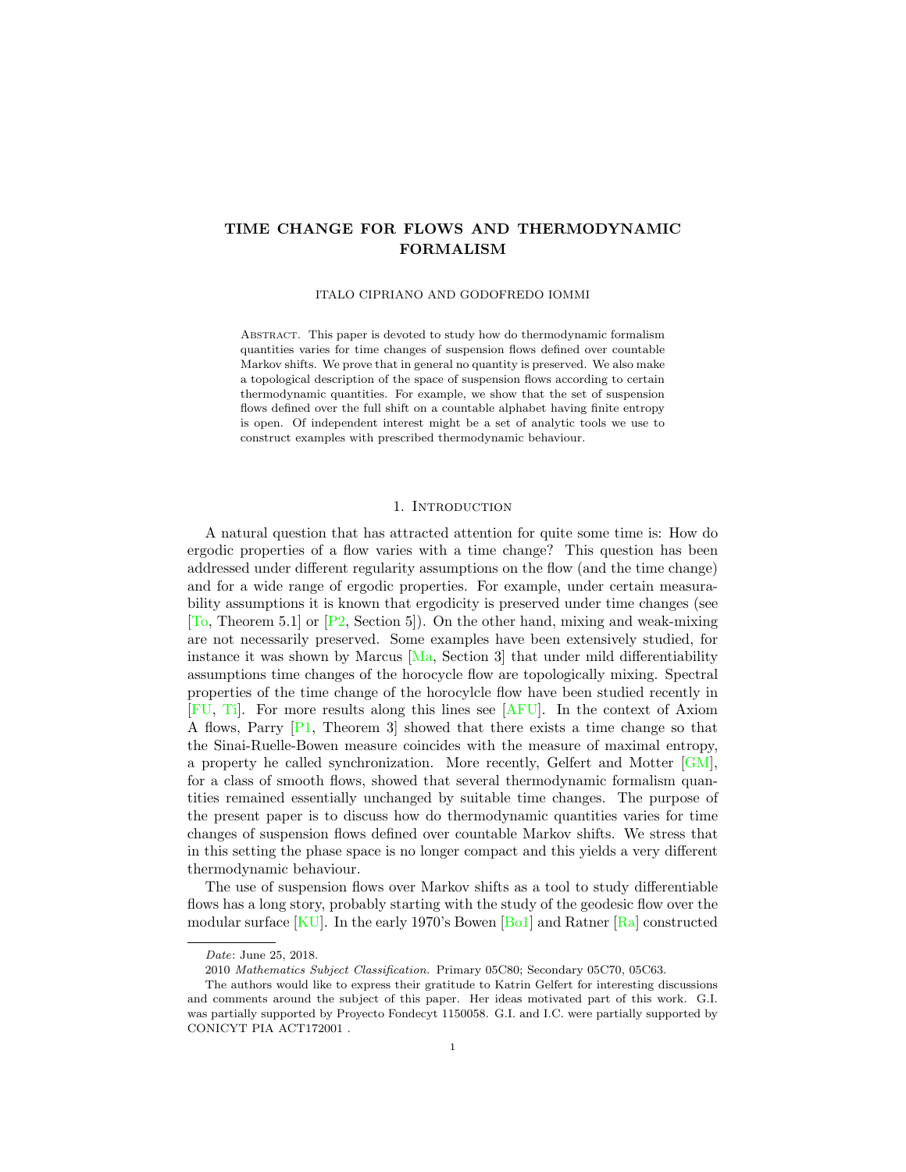## <span id="page-0-0"></span>TIME CHANGE FOR FLOWS AND THERMODYNAMIC FORMALISM

ITALO CIPRIANO AND GODOFREDO IOMMI

Abstract. This paper is devoted to study how do thermodynamic formalism quantities varies for time changes of suspension flows defined over countable Markov shifts. We prove that in general no quantity is preserved. We also make a topological description of the space of suspension flows according to certain thermodynamic quantities. For example, we show that the set of suspension flows defined over the full shift on a countable alphabet having finite entropy is open. Of independent interest might be a set of analytic tools we use to construct examples with prescribed thermodynamic behaviour.

#### 1. Introduction

A natural question that has attracted attention for quite some time is: How do ergodic properties of a flow varies with a time change? This question has been addressed under different regularity assumptions on the flow (and the time change) and for a wide range of ergodic properties. For example, under certain measurability assumptions it is known that ergodicity is preserved under time changes (see [\[To,](#page-22-1) Theorem 5.1] or  $[P2, Section 5]$  $[P2, Section 5]$ . On the other hand, mixing and weak-mixing are not necessarily preserved. Some examples have been extensively studied, for instance it was shown by Marcus  $[Ma, Section 3]$  $[Ma, Section 3]$  that under mild differentiability assumptions time changes of the horocycle flow are topologically mixing. Spectral properties of the time change of the horocylcle flow have been studied recently in [\[FU,](#page-21-1) [Ti\]](#page-22-3). For more results along this lines see [\[AFU\]](#page-20-0). In the context of Axiom A flows, Parry [\[P1,](#page-21-2) Theorem 3] showed that there exists a time change so that the Sinai-Ruelle-Bowen measure coincides with the measure of maximal entropy, a property he called synchronization. More recently, Gelfert and Motter [\[GM\]](#page-21-3), for a class of smooth flows, showed that several thermodynamic formalism quantities remained essentially unchanged by suitable time changes. The purpose of the present paper is to discuss how do thermodynamic quantities varies for time changes of suspension flows defined over countable Markov shifts. We stress that in this setting the phase space is no longer compact and this yields a very different thermodynamic behaviour.

The use of suspension flows over Markov shifts as a tool to study differentiable flows has a long story, probably starting with the study of the geodesic flow over the modular surface [\[KU\]](#page-21-4). In the early 1970's Bowen [\[Bo1\]](#page-20-1) and Ratner [\[Ra\]](#page-22-0) constructed

Date: June 25, 2018.

<sup>2010</sup> Mathematics Subject Classification. Primary 05C80; Secondary 05C70, 05C63.

The authors would like to express their gratitude to Katrin Gelfert for interesting discussions and comments around the subject of this paper. Her ideas motivated part of this work. G.I. was partially supported by Proyecto Fondecyt 1150058. G.I. and I.C. were partially supported by CONICYT PIA ACT172001 .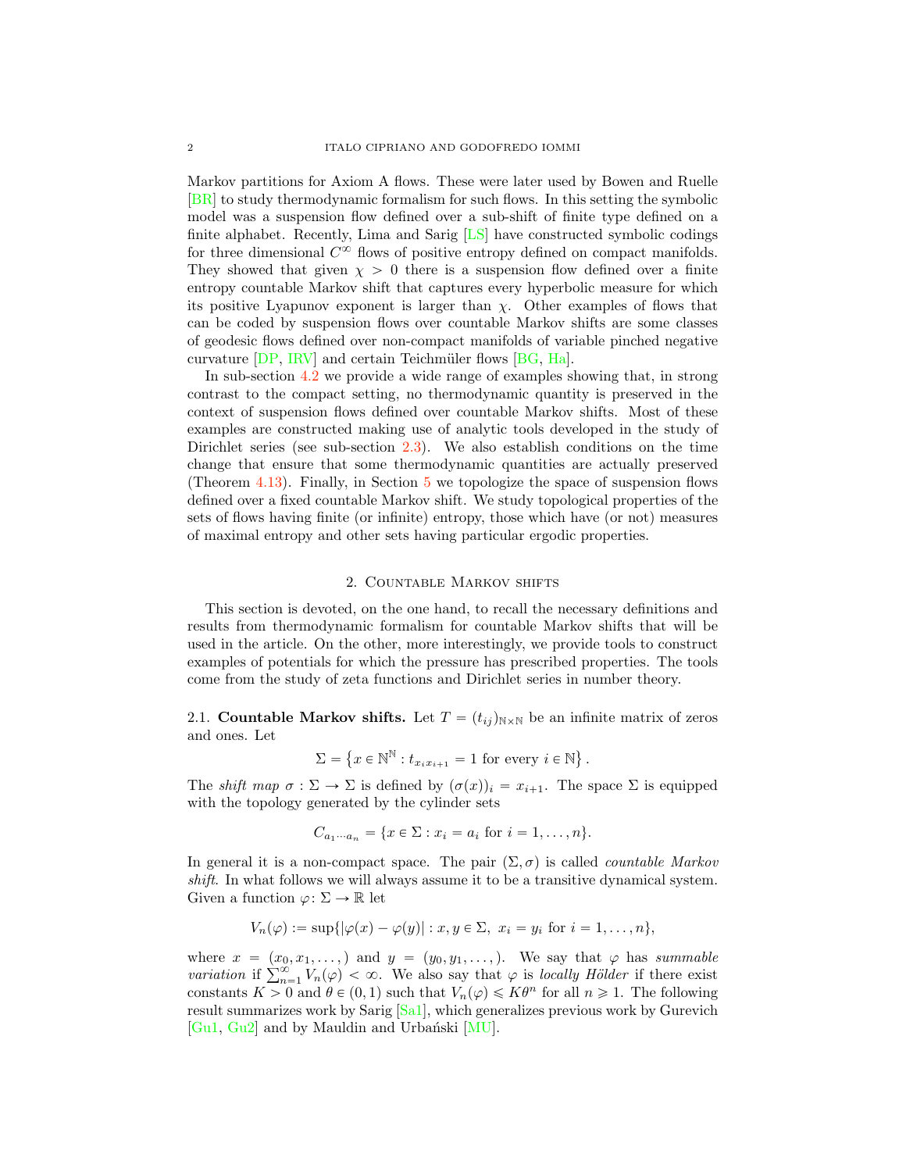<span id="page-1-0"></span>Markov partitions for Axiom A flows. These were later used by Bowen and Ruelle [\[BR\]](#page-20-2) to study thermodynamic formalism for such flows. In this setting the symbolic model was a suspension flow defined over a sub-shift of finite type defined on a finite alphabet. Recently, Lima and Sarig [\[LS\]](#page-21-6) have constructed symbolic codings for three dimensional  $C^{\infty}$  flows of positive entropy defined on compact manifolds. They showed that given  $\chi > 0$  there is a suspension flow defined over a finite entropy countable Markov shift that captures every hyperbolic measure for which its positive Lyapunov exponent is larger than  $\chi$ . Other examples of flows that can be coded by suspension flows over countable Markov shifts are some classes of geodesic flows defined over non-compact manifolds of variable pinched negative curvature  $[DP, IRV]$  $[DP, IRV]$  $[DP, IRV]$  and certain Teichmüler flows  $[BG, Ha]$  $[BG, Ha]$  $[BG, Ha]$ .

In sub-section [4.2](#page-9-0) we provide a wide range of examples showing that, in strong contrast to the compact setting, no thermodynamic quantity is preserved in the context of suspension flows defined over countable Markov shifts. Most of these examples are constructed making use of analytic tools developed in the study of Dirichlet series (see sub-section  $2.3$ ). We also establish conditions on the time change that ensure that some thermodynamic quantities are actually preserved (Theorem [4.13\)](#page-14-0). Finally, in Section [5](#page-15-0) we topologize the space of suspension flows defined over a fixed countable Markov shift. We study topological properties of the sets of flows having finite (or infinite) entropy, those which have (or not) measures of maximal entropy and other sets having particular ergodic properties.

#### 2. Countable Markov shifts

This section is devoted, on the one hand, to recall the necessary definitions and results from thermodynamic formalism for countable Markov shifts that will be used in the article. On the other, more interestingly, we provide tools to construct examples of potentials for which the pressure has prescribed properties. The tools come from the study of zeta functions and Dirichlet series in number theory.

2.1. Countable Markov shifts. Let  $T = (t_{ij})_{N \times N}$  be an infinite matrix of zeros and ones. Let

$$
\Sigma = \left\{ x \in \mathbb{N}^\mathbb{N} : t_{x_i x_{i+1}} = 1 \text{ for every } i \in \mathbb{N} \right\}.
$$

The shift map  $\sigma : \Sigma \to \Sigma$  is defined by  $(\sigma(x))_i = x_{i+1}$ . The space  $\Sigma$  is equipped with the topology generated by the cylinder sets

$$
C_{a_1 \cdots a_n} = \{ x \in \Sigma : x_i = a_i \text{ for } i = 1, \ldots, n \}.
$$

In general it is a non-compact space. The pair  $(\Sigma, \sigma)$  is called *countable Markov* shift. In what follows we will always assume it to be a transitive dynamical system. Given a function  $\varphi \colon \Sigma \to \mathbb{R}$  let

$$
V_n(\varphi) := \sup\{|\varphi(x) - \varphi(y)| : x, y \in \Sigma, x_i = y_i \text{ for } i = 1, \ldots, n\},\
$$

where  $x = (x_0, x_1, \ldots)$  and  $y = (y_0, y_1, \ldots)$ . We say that  $\varphi$  has summable variation if  $\sum_{n=1}^{\infty} V_n(\varphi) < \infty$ . We also say that  $\varphi$  is locally Hölder if there exist constants  $K > 0$  and  $\theta \in (0, 1)$  such that  $V_n(\varphi) \leq K\theta^n$  for all  $n \geq 1$ . The following result summarizes work by Sarig [\[Sa1\]](#page-22-4), which generalizes previous work by Gurevich [\[Gu1,](#page-21-11) [Gu2\]](#page-21-12) and by Mauldin and Urbański [\[MU\]](#page-21-5).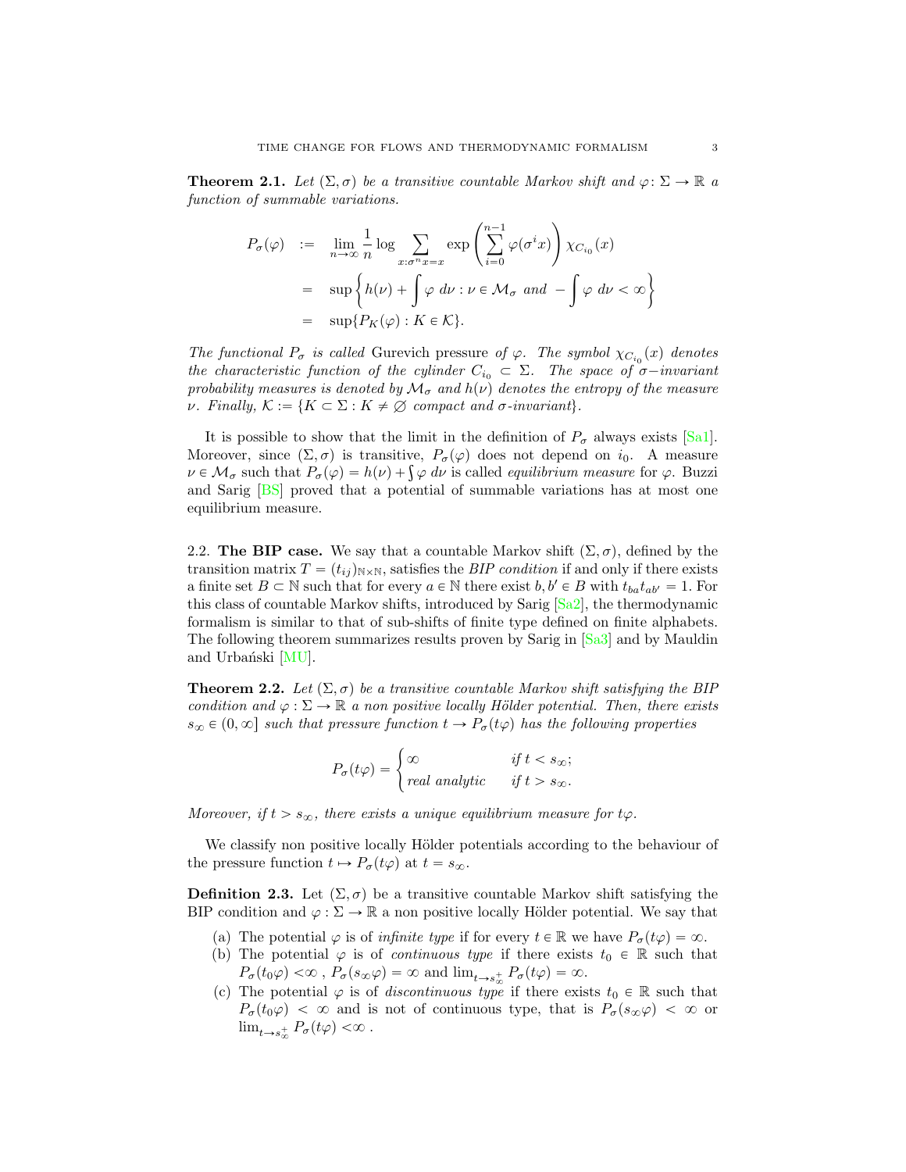<span id="page-2-2"></span><span id="page-2-1"></span>**Theorem 2.1.** Let  $(\Sigma, \sigma)$  be a transitive countable Markov shift and  $\varphi: \Sigma \to \mathbb{R}$  a function of summable variations.

$$
P_{\sigma}(\varphi) := \lim_{n \to \infty} \frac{1}{n} \log \sum_{x:\sigma^n x = x} \exp \left( \sum_{i=0}^{n-1} \varphi(\sigma^i x) \right) \chi_{C_{i_0}}(x)
$$
  
= 
$$
\sup \left\{ h(\nu) + \int \varphi \, d\nu : \nu \in \mathcal{M}_{\sigma} \text{ and } -\int \varphi \, d\nu < \infty \right\}
$$
  
= 
$$
\sup \{ P_K(\varphi) : K \in \mathcal{K} \}.
$$

The functional  $P_{\sigma}$  is called Gurevich pressure of  $\varphi$ . The symbol  $\chi_{C_{i_0}}(x)$  denotes the characteristic function of the cylinder  $C_{i_0} \subset \Sigma$ . The space of  $\sigma$ -invariant probability measures is denoted by  $\mathcal{M}_{\sigma}$  and  $h(\nu)$  denotes the entropy of the measure *ν*. Finally,  $\mathcal{K} := \{K \subset \Sigma : K \neq \emptyset \text{ compact and } \sigma\text{-invariant}\}.$ 

It is possible to show that the limit in the definition of  $P_{\sigma}$  always exists [\[Sa1\]](#page-22-4). Moreover, since  $(\Sigma, \sigma)$  is transitive,  $P_{\sigma}(\varphi)$  does not depend on  $i_0$ . A measure  $\nu \in \mathcal{M}_{\sigma}$  such that  $P_{\sigma}(\varphi) = h(\nu) + \int \varphi \, d\nu$  is called *equilibrium measure* for  $\varphi$ . Buzzi and Sarig [\[BS\]](#page-21-13) proved that a potential of summable variations has at most one equilibrium measure.

<span id="page-2-0"></span>2.2. The BIP case. We say that a countable Markov shift  $(\Sigma, \sigma)$ , defined by the transition matrix  $T = (t_{ij})_{N \times N}$ , satisfies the *BIP condition* if and only if there exists a finite set  $B \subset \mathbb{N}$  such that for every  $a \in \mathbb{N}$  there exist  $b, b' \in B$  with  $t_{ba}t_{ab'} = 1$ . For this class of countable Markov shifts, introduced by Sarig [\[Sa2\]](#page-22-5), the thermodynamic formalism is similar to that of sub-shifts of finite type defined on finite alphabets. The following theorem summarizes results proven by Sarig in [\[Sa3\]](#page-22-6) and by Mauldin and Urbański [\[MU\]](#page-21-5).

**Theorem 2.2.** Let  $(\Sigma, \sigma)$  be a transitive countable Markov shift satisfying the BIP condition and  $\varphi : \Sigma \to \mathbb{R}$  a non positive locally Hölder potential. Then, there exists  $s_{\infty} \in (0, \infty]$  such that pressure function  $t \to P_{\sigma}(t\varphi)$  has the following properties

$$
P_{\sigma}(t\varphi) = \begin{cases} \infty & \text{if } t < s_{\infty}; \\ real analytic & \text{if } t > s_{\infty}. \end{cases}
$$

Moreover, if  $t > s_{\infty}$ , there exists a unique equilibrium measure for  $t\varphi$ .

We classify non positive locally Hölder potentials according to the behaviour of the pressure function  $t \mapsto P_{\sigma}(t\varphi)$  at  $t = s_{\infty}$ .

**Definition 2.3.** Let  $(\Sigma, \sigma)$  be a transitive countable Markov shift satisfying the BIP condition and  $\varphi : \Sigma \to \mathbb{R}$  a non positive locally Hölder potential. We say that

- (a) The potential  $\varphi$  is of *infinite type* if for every  $t \in \mathbb{R}$  we have  $P_{\sigma}(t\varphi) = \infty$ .
- (b) The potential  $\varphi$  is of *continuous type* if there exists  $t_0 \in \mathbb{R}$  such that  $P_{\sigma}(t_0\varphi) < \infty$ ,  $P_{\sigma}(s_{\infty}\varphi) = \infty$  and  $\lim_{t \to s_{\infty}^+} P_{\sigma}(t\varphi) = \infty$ .
- (c) The potential  $\varphi$  is of *discontinuous type* if there exists  $t_0 \in \mathbb{R}$  such that  $P_{\sigma}(t_0\varphi) < \infty$  and is not of continuous type, that is  $P_{\sigma}(s_{\infty}\varphi) < \infty$  or  $\lim_{t\to s_\infty^+} P_\sigma(t\varphi) < \infty$ .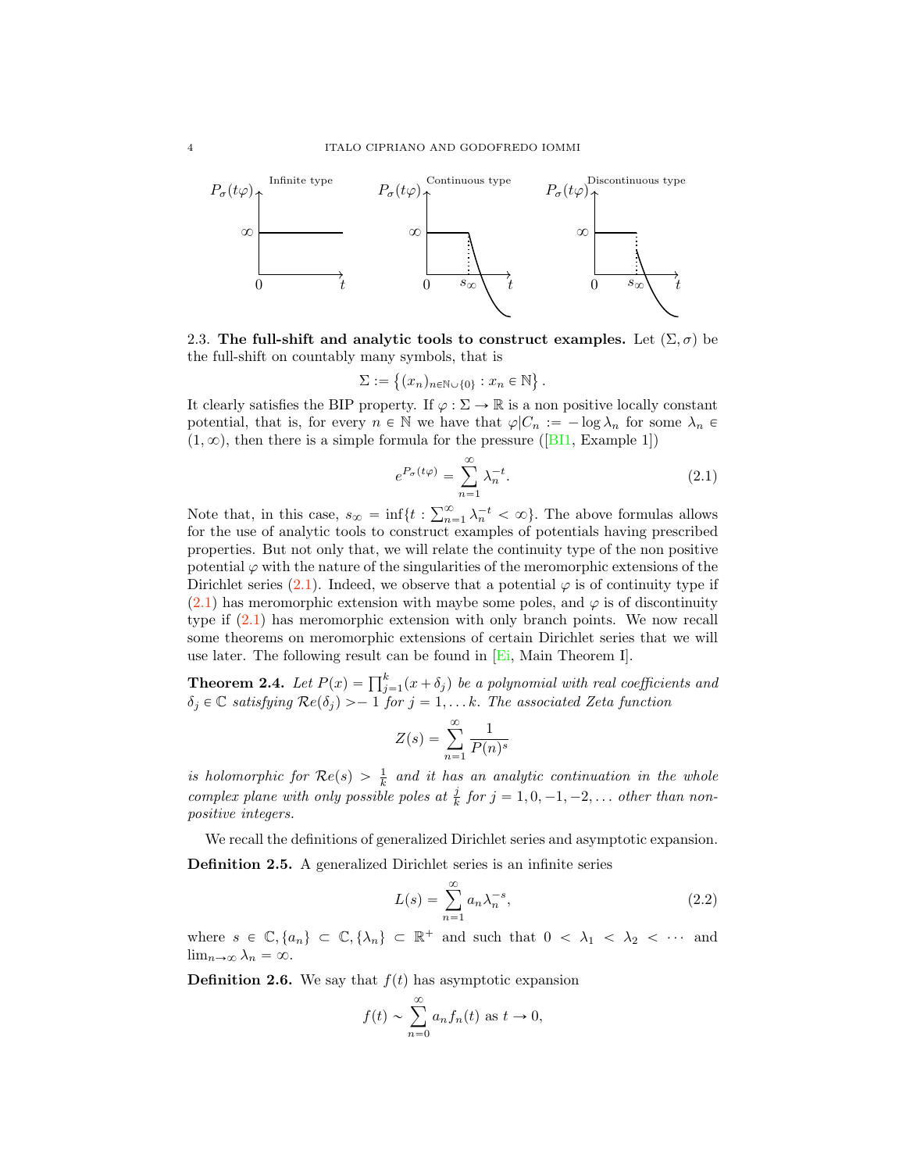<span id="page-3-4"></span>

<span id="page-3-0"></span>2.3. The full-shift and analytic tools to construct examples. Let  $(\Sigma, \sigma)$  be the full-shift on countably many symbols, that is

$$
\Sigma := \{(x_n)_{n \in \mathbb{N} \cup \{0\}} : x_n \in \mathbb{N}\}.
$$

It clearly satisfies the BIP property. If  $\varphi : \Sigma \to \mathbb{R}$  is a non positive locally constant potential, that is, for every  $n \in \mathbb{N}$  we have that  $\varphi | C_n := -\log \lambda_n$  for some  $\lambda_n \in$  $(1, \infty)$ , then there is a simple formula for the pressure ([\[BI1,](#page-20-3) Example 1])

<span id="page-3-1"></span>
$$
e^{P_{\sigma}(t\varphi)} = \sum_{n=1}^{\infty} \lambda_n^{-t}.
$$
\n(2.1)

Note that, in this case,  $s_{\infty} = \inf\{t : \sum_{n=1}^{\infty} \lambda_n^{-t} < \infty\}$ . The above formulas allows for the use of analytic tools to construct examples of potentials having prescribed properties. But not only that, we will relate the continuity type of the non positive potential  $\varphi$  with the nature of the singularities of the meromorphic extensions of the Dirichlet series [\(2.1\)](#page-3-1). Indeed, we observe that a potential  $\varphi$  is of continuity type if  $(2.1)$  has meromorphic extension with maybe some poles, and  $\varphi$  is of discontinuity type if [\(2.1\)](#page-3-1) has meromorphic extension with only branch points. We now recall some theorems on meromorphic extensions of certain Dirichlet series that we will use later. The following result can be found in  $E_i$ , Main Theorem I.

<span id="page-3-3"></span>**Theorem 2.4.** Let  $P(x) = \prod_{j=1}^{k} (x + \delta_j)$  be a polynomial with real coefficients and  $\delta_j \in \mathbb{C}$  satisfying  $\mathcal{R}e(\delta_j) > -1$  for  $j = 1, \ldots k$ . The associated Zeta function

$$
Z(s) = \sum_{n=1}^{\infty} \frac{1}{P(n)^s}
$$

is holomorphic for  $\mathcal{R}e(s) > \frac{1}{k}$  and it has an analytic continuation in the whole complex plane with only possible poles at  $\frac{j}{k}$  for  $j = 1, 0, -1, -2, \ldots$  other than nonpositive integers.

We recall the definitions of generalized Dirichlet series and asymptotic expansion. Definition 2.5. A generalized Dirichlet series is an infinite series

<span id="page-3-2"></span>
$$
L(s) = \sum_{n=1}^{\infty} a_n \lambda_n^{-s},
$$
\n(2.2)

where  $s \in \mathbb{C}, \{a_n\} \subset \mathbb{C}, \{\lambda_n\} \subset \mathbb{R}^+$  and such that  $0 < \lambda_1 < \lambda_2 < \cdots$  and  $\lim_{n\to\infty}\lambda_n = \infty.$ 

**Definition 2.6.** We say that  $f(t)$  has asymptotic expansion

$$
f(t) \sim \sum_{n=0}^{\infty} a_n f_n(t)
$$
 as  $t \to 0$ ,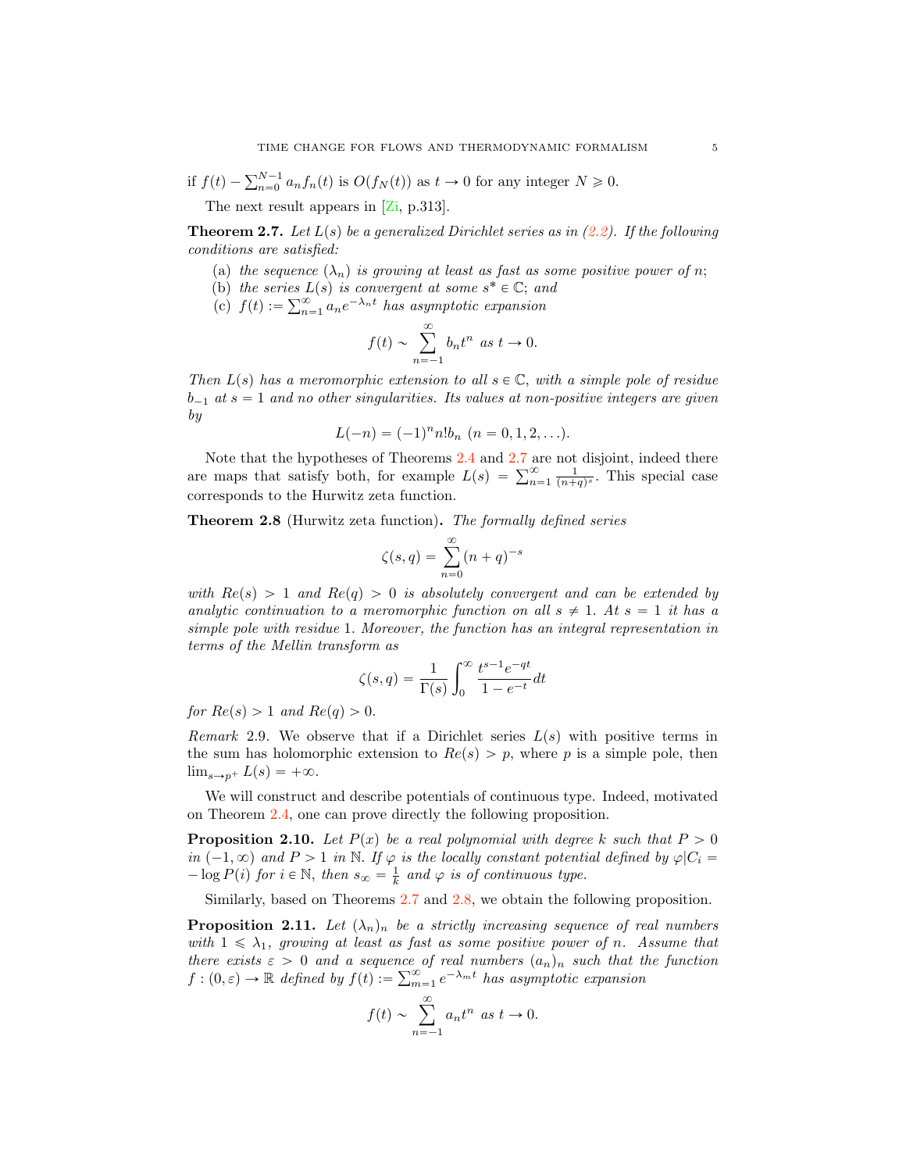# <span id="page-4-2"></span>if  $f(t) - \sum_{n=0}^{N-1} a_n f_n(t)$  is  $O(f_N(t))$  as  $t \to 0$  for any integer  $N \geq 0$ .

The next result appears in  $[\mathbb{Z}^i, p.313]$ .

<span id="page-4-1"></span>**Theorem 2.7.** Let  $L(s)$  be a generalized Dirichlet series as in [\(2.2\)](#page-3-2). If the following conditions are satisfied:

- (a) the sequence  $(\lambda_n)$  is growing at least as fast as some positive power of n;
- (b) the series  $L(s)$  is convergent at some  $s^* \in \mathbb{C}$ ; and
- (c)  $f(t) := \sum_{n=1}^{\infty} a_n e^{-\lambda_n t}$  has asymptotic expansion

$$
f(t) \sim \sum_{n=-1}^{\infty} b_n t^n \text{ as } t \to 0.
$$

Then  $L(s)$  has a meromorphic extension to all  $s \in \mathbb{C}$ , with a simple pole of residue  $b_{-1}$  at  $s = 1$  and no other singularities. Its values at non-positive integers are given by

$$
L(-n) = (-1)^n n! b_n \ (n = 0, 1, 2, \ldots).
$$

Note that the hypotheses of Theorems [2.4](#page-3-3) and [2.7](#page-4-1) are not disjoint, indeed there are maps that satisfy both, for example  $L(s) = \sum_{n=1}^{\infty} \frac{1}{(n+q)^s}$ . This special case corresponds to the Hurwitz zeta function.

<span id="page-4-0"></span>Theorem 2.8 (Hurwitz zeta function). The formally defined series

$$
\zeta(s,q) = \sum_{n=0}^{\infty} (n+q)^{-s}
$$

with  $Re(s) > 1$  and  $Re(q) > 0$  is absolutely convergent and can be extended by analytic continuation to a meromorphic function on all  $s \neq 1$ . At  $s = 1$  it has a simple pole with residue 1. Moreover, the function has an integral representation in terms of the Mellin transform as

$$
\zeta(s,q) = \frac{1}{\Gamma(s)} \int_0^\infty \frac{t^{s-1} e^{-qt}}{1 - e^{-t}} dt
$$

for  $Re(s) > 1$  and  $Re(q) > 0$ .

Remark 2.9. We observe that if a Dirichlet series  $L(s)$  with positive terms in the sum has holomorphic extension to  $Re(s) > p$ , where p is a simple pole, then  $\lim_{s\to p^+} L(s) = +\infty.$ 

We will construct and describe potentials of continuous type. Indeed, motivated on Theorem [2.4,](#page-3-3) one can prove directly the following proposition.

**Proposition 2.10.** Let  $P(x)$  be a real polynomial with degree k such that  $P > 0$ in  $(-1, \infty)$  and  $P > 1$  in N. If  $\varphi$  is the locally constant potential defined by  $\varphi|C_i =$  $-\log P(i)$  for  $i \in \mathbb{N}$ , then  $s_{\infty} = \frac{1}{k}$  and  $\varphi$  is of continuous type.

Similarly, based on Theorems [2.7](#page-4-1) and [2.8,](#page-4-0) we obtain the following proposition.

**Proposition 2.11.** Let  $(\lambda_n)_n$  be a strictly increasing sequence of real numbers with  $1 \leq \lambda_1$ , growing at least as fast as some positive power of n. Assume that there exists  $\varepsilon > 0$  and a sequence of real numbers  $(a_n)_n$  such that the function  $f: (0, \varepsilon) \to \mathbb{R}$  defined by  $f(t) := \sum_{m=1}^{\infty} e^{-\lambda_m t}$  has asymptotic expansion

$$
f(t) \sim \sum_{n=-1}^{\infty} a_n t^n \text{ as } t \to 0.
$$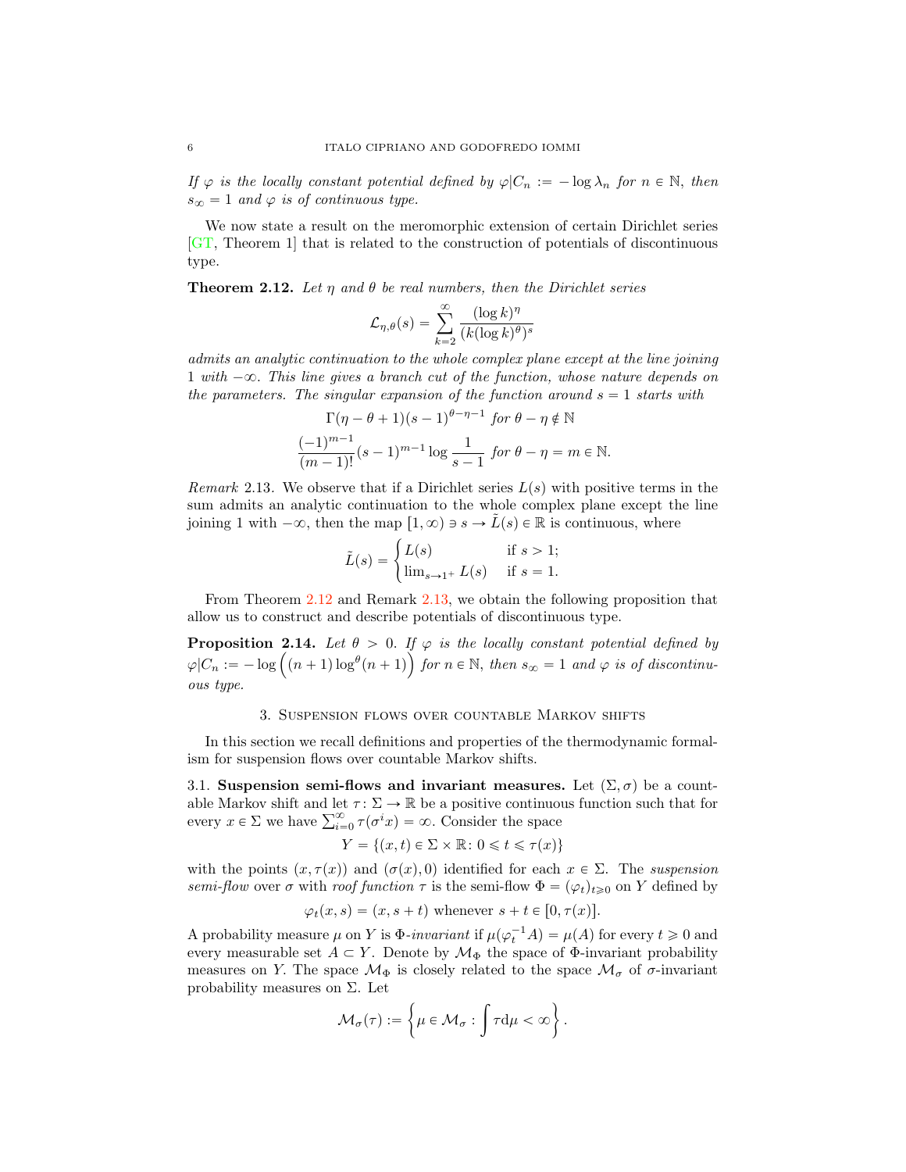<span id="page-5-2"></span>If  $\varphi$  is the locally constant potential defined by  $\varphi|C_n := -\log \lambda_n$  for  $n \in \mathbb{N}$ , then  $s_{\infty} = 1$  and  $\varphi$  is of continuous type.

We now state a result on the meromorphic extension of certain Dirichlet series [\[GT,](#page-21-15) Theorem 1] that is related to the construction of potentials of discontinuous type.

<span id="page-5-1"></span>**Theorem 2.12.** Let  $\eta$  and  $\theta$  be real numbers, then the Dirichlet series

$$
\mathcal{L}_{\eta,\theta}(s) = \sum_{k=2}^{\infty} \frac{(\log k)^{\eta}}{(k(\log k)^{\theta})^s}
$$

admits an analytic continuation to the whole complex plane except at the line joining 1 with  $-\infty$ . This line gives a branch cut of the function, whose nature depends on the parameters. The singular expansion of the function around  $s = 1$  starts with

$$
\Gamma(\eta - \theta + 1)(s - 1)^{\theta - \eta - 1} \text{ for } \theta - \eta \notin \mathbb{N}
$$

$$
\frac{(-1)^{m-1}}{(m-1)!} (s-1)^{m-1} \log \frac{1}{s-1} \text{ for } \theta - \eta = m \in \mathbb{N}.
$$

<span id="page-5-0"></span>Remark 2.13. We observe that if a Dirichlet series  $L(s)$  with positive terms in the sum admits an analytic continuation to the whole complex plane except the line joining 1 with  $-\infty$ , then the map  $[1, \infty) \ni s \to L(s) \in \mathbb{R}$  is continuous, where

$$
\tilde{L}(s) = \begin{cases} L(s) & \text{if } s > 1; \\ \lim_{s \to 1^+} L(s) & \text{if } s = 1. \end{cases}
$$

From Theorem [2.12](#page-5-1) and Remark [2.13,](#page-5-0) we obtain the following proposition that allow us to construct and describe potentials of discontinuous type.

**Proposition 2.14.** Let  $\theta > 0$ . If  $\varphi$  is the locally constant potential defined by  $\varphi|C_n := -\log((n+1)\log^{\theta}(n+1))$  for  $n \in \mathbb{N}$ , then  $s_{\infty} = 1$  and  $\varphi$  is of discontinuous type.

#### 3. Suspension flows over countable Markov shifts

In this section we recall definitions and properties of the thermodynamic formalism for suspension flows over countable Markov shifts.

3.1. Suspension semi-flows and invariant measures. Let  $(\Sigma, \sigma)$  be a countable Markov shift and let  $\tau : \Sigma \to \mathbb{R}$  be a positive continuous function such that for every  $x \in \Sigma$  we have  $\sum_{i=0}^{\infty} \tau(\sigma^i x) = \infty$ . Consider the space

$$
Y = \{(x, t) \in \Sigma \times \mathbb{R} \colon 0 \leq t \leq \tau(x)\}
$$

with the points  $(x, \tau(x))$  and  $(\sigma(x), 0)$  identified for each  $x \in \Sigma$ . The suspension semi-flow over  $\sigma$  with roof function  $\tau$  is the semi-flow  $\Phi = (\varphi_t)_{t\geq0}$  on Y defined by

$$
\varphi_t(x, s) = (x, s + t)
$$
 whenever  $s + t \in [0, \tau(x)].$ 

A probability measure  $\mu$  on Y is  $\Phi$ -invariant if  $\mu(\varphi_t^{-1}A) = \mu(A)$  for every  $t \ge 0$  and every measurable set  $A \subset Y$ . Denote by  $\mathcal{M}_{\Phi}$  the space of  $\Phi$ -invariant probability measures on Y. The space  $\mathcal{M}_{\Phi}$  is closely related to the space  $\mathcal{M}_{\sigma}$  of  $\sigma$ -invariant probability measures on  $\Sigma$ . Let

$$
\mathcal{M}_{\sigma}(\tau):=\left\{\mu\in\mathcal{M}_{\sigma}:\int\tau\mathrm{d}\mu<\infty\right\}.
$$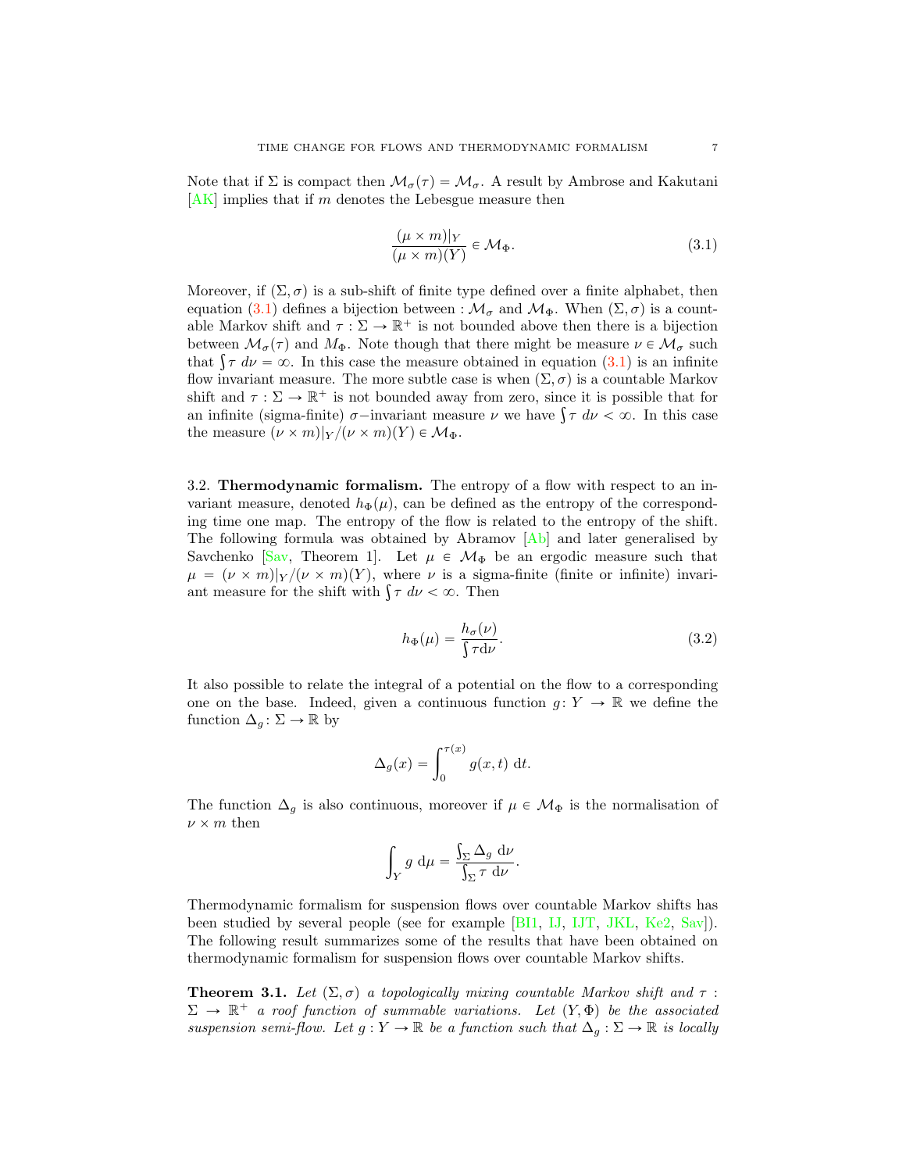<span id="page-6-1"></span>Note that if  $\Sigma$  is compact then  $\mathcal{M}_{\sigma}(\tau) = \mathcal{M}_{\sigma}$ . A result by Ambrose and Kakutani  $[AK]$  implies that if m denotes the Lebesgue measure then

<span id="page-6-0"></span>
$$
\frac{(\mu \times m)|_Y}{(\mu \times m)(Y)} \in \mathcal{M}_{\Phi}.
$$
\n(3.1)

Moreover, if  $(\Sigma, \sigma)$  is a sub-shift of finite type defined over a finite alphabet, then equation [\(3.1\)](#page-6-0) defines a bijection between :  $\mathcal{M}_{\sigma}$  and  $\mathcal{M}_{\Phi}$ . When  $(\Sigma, \sigma)$  is a countable Markov shift and  $\tau : \Sigma \to \mathbb{R}^+$  is not bounded above then there is a bijection between  $\mathcal{M}_{\sigma}(\tau)$  and  $M_{\Phi}$ . Note though that there might be measure  $\nu \in \mathcal{M}_{\sigma}$  such that  $\int \tau \, d\nu = \infty$ . In this case the measure obtained in equation [\(3.1\)](#page-6-0) is an infinite flow invariant measure. The more subtle case is when  $(\Sigma, \sigma)$  is a countable Markov shift and  $\tau : \Sigma \to \mathbb{R}^+$  is not bounded away from zero, since it is possible that for an infinite (sigma-finite)  $\sigma$ -invariant measure  $\nu$  we have  $\int \tau \, d\nu < \infty$ . In this case the measure  $(\nu \times m)|_Y / (\nu \times m)(Y) \in \mathcal{M}_{\Phi}$ .

3.2. Thermodynamic formalism. The entropy of a flow with respect to an invariant measure, denoted  $h_{\Phi}(\mu)$ , can be defined as the entropy of the corresponding time one map. The entropy of the flow is related to the entropy of the shift. The following formula was obtained by Abramov [\[Ab\]](#page-20-5) and later generalised by Savchenko [\[Sav,](#page-22-8) Theorem 1]. Let  $\mu \in \mathcal{M}_{\Phi}$  be an ergodic measure such that  $\mu = (\nu \times m)|_Y / (\nu \times m)(Y)$ , where  $\nu$  is a sigma-finite (finite or infinite) invariant measure for the shift with  $\int \tau \, d\nu < \infty$ . Then

$$
h_{\Phi}(\mu) = \frac{h_{\sigma}(\nu)}{\int \tau \, \mathrm{d}\nu}.\tag{3.2}
$$

It also possible to relate the integral of a potential on the flow to a corresponding one on the base. Indeed, given a continuous function  $g: Y \to \mathbb{R}$  we define the function  $\Delta_g : \Sigma \to \mathbb{R}$  by

$$
\Delta_g(x) = \int_0^{\tau(x)} g(x, t) \, \mathrm{d}t.
$$

The function  $\Delta_g$  is also continuous, moreover if  $\mu \in \mathcal{M}_{\Phi}$  is the normalisation of  $\nu \times m$  then

$$
\int_Y g \, \mathrm{d}\mu = \frac{\int_\Sigma \Delta_g \, \mathrm{d}\nu}{\int_\Sigma \tau \, \mathrm{d}\nu}.
$$

Thermodynamic formalism for suspension flows over countable Markov shifts has been studied by several people (see for example [\[BI1,](#page-20-3) [IJ,](#page-21-16) [IJT,](#page-21-17) [JKL,](#page-21-18) [Ke2,](#page-21-19) [Sav\]](#page-22-8)). The following result summarizes some of the results that have been obtained on thermodynamic formalism for suspension flows over countable Markov shifts.

**Theorem 3.1.** Let  $(\Sigma, \sigma)$  a topologically mixing countable Markov shift and  $\tau$  :  $\Sigma \to \mathbb{R}^+$  a roof function of summable variations. Let  $(Y, \Phi)$  be the associated suspension semi-flow. Let  $g: Y \to \mathbb{R}$  be a function such that  $\Delta_q: \Sigma \to \mathbb{R}$  is locally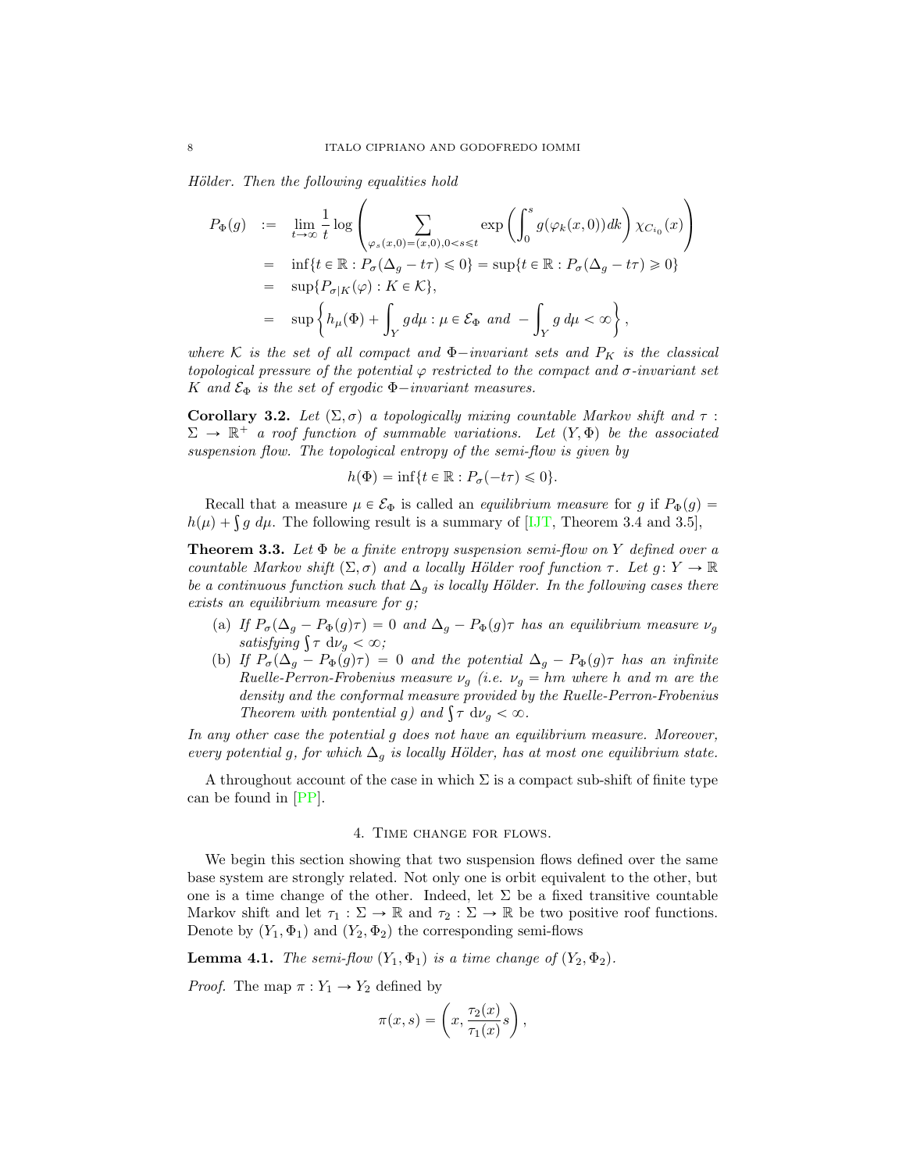<span id="page-7-2"></span>Hölder. Then the following equalities hold

$$
P_{\Phi}(g) := \lim_{t \to \infty} \frac{1}{t} \log \left( \sum_{\varphi_s(x,0) = (x,0), 0 < s \le t} \exp \left( \int_0^s g(\varphi_k(x,0)) dk \right) \chi_{C_{i_0}}(x) \right)
$$
  
\n
$$
= \inf \{ t \in \mathbb{R} : P_{\sigma}(\Delta_g - t\tau) \le 0 \} = \sup \{ t \in \mathbb{R} : P_{\sigma}(\Delta_g - t\tau) \ge 0 \}
$$
  
\n
$$
= \sup \{ P_{\sigma|K}(\varphi) : K \in \mathcal{K} \},
$$
  
\n
$$
= \sup \left\{ h_{\mu}(\Phi) + \int_Y g d\mu : \mu \in \mathcal{E}_{\Phi} \text{ and } - \int_Y g d\mu < \infty \right\},
$$

where K is the set of all compact and  $\Phi$ -invariant sets and  $P_K$  is the classical topological pressure of the potential  $\varphi$  restricted to the compact and  $\sigma$ -invariant set K and  $\mathcal{E}_{\Phi}$  is the set of ergodic  $\Phi$ -invariant measures.

<span id="page-7-0"></span>Corollary 3.2. Let  $(\Sigma, \sigma)$  a topologically mixing countable Markov shift and  $\tau$  :  $\Sigma \rightarrow \mathbb{R}^+$  a roof function of summable variations. Let  $(Y, \Phi)$  be the associated suspension flow. The topological entropy of the semi-flow is given by

$$
h(\Phi) = \inf\{t \in \mathbb{R} : P_{\sigma}(-t\tau) \leq 0\}.
$$

Recall that a measure  $\mu \in \mathcal{E}_{\Phi}$  is called an *equilibrium measure* for g if  $P_{\Phi}(g)$  =  $h(\mu) + \int g \ d\mu$ . The following result is a summary of [\[IJT,](#page-21-17) Theorem 3.4 and 3.5],

<span id="page-7-1"></span>**Theorem 3.3.** Let  $\Phi$  be a finite entropy suspension semi-flow on Y defined over a countable Markov shift  $(\Sigma, \sigma)$  and a locally Hölder roof function  $\tau$ . Let  $g : Y \to \mathbb{R}$ be a continuous function such that  $\Delta_g$  is locally Hölder. In the following cases there exists an equilibrium measure for g;

- (a) If  $P_{\sigma}(\Delta_g P_{\Phi}(g)\tau) = 0$  and  $\Delta_g P_{\Phi}(g)\tau$  has an equilibrium measure  $\nu_g$ satisfying  $\int \tau \ d\nu_g < \infty$ ;
- (b) If  $P_{\sigma}(\Delta_g P_{\Phi}(g)\tau) = 0$  and the potential  $\Delta_g P_{\Phi}(g)\tau$  has an infinite Ruelle-Perron-Frobenius measure  $\nu_g$  (i.e.  $\nu_g = hm$  where h and m are the density and the conformal measure provided by the Ruelle-Perron-Frobenius Theorem with pontential g) and  $\int \tau \, d\nu_g < \infty$ .

In any other case the potential g does not have an equilibrium measure. Moreover, every potential g, for which  $\Delta_q$  is locally Hölder, has at most one equilibrium state.

A throughout account of the case in which  $\Sigma$  is a compact sub-shift of finite type can be found in [\[PP\]](#page-22-9).

### 4. Time change for flows.

We begin this section showing that two suspension flows defined over the same base system are strongly related. Not only one is orbit equivalent to the other, but one is a time change of the other. Indeed, let  $\Sigma$  be a fixed transitive countable Markov shift and let  $\tau_1 : \Sigma \to \mathbb{R}$  and  $\tau_2 : \Sigma \to \mathbb{R}$  be two positive roof functions. Denote by  $(Y_1, \Phi_1)$  and  $(Y_2, \Phi_2)$  the corresponding semi-flows

**Lemma 4.1.** The semi-flow  $(Y_1, \Phi_1)$  is a time change of  $(Y_2, \Phi_2)$ .

*Proof.* The map  $\pi : Y_1 \to Y_2$  defined by

$$
\pi(x,s) = \left(x, \frac{\tau_2(x)}{\tau_1(x)}s\right),\,
$$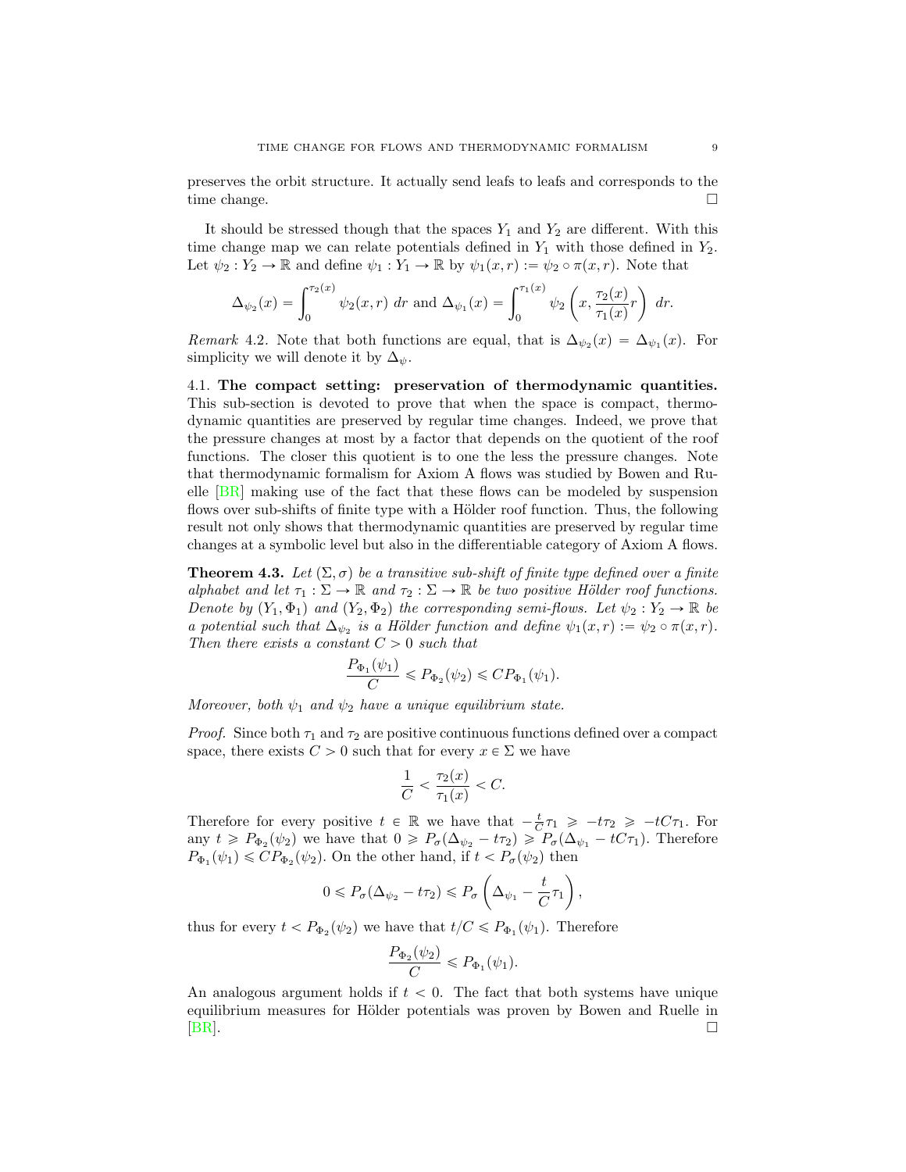<span id="page-8-0"></span>preserves the orbit structure. It actually send leafs to leafs and corresponds to the time change.

It should be stressed though that the spaces  $Y_1$  and  $Y_2$  are different. With this time change map we can relate potentials defined in  $Y_1$  with those defined in  $Y_2$ . Let  $\psi_2 : Y_2 \to \mathbb{R}$  and define  $\psi_1 : Y_1 \to \mathbb{R}$  by  $\psi_1(x, r) := \psi_2 \circ \pi(x, r)$ . Note that

$$
\Delta_{\psi_2}(x) = \int_0^{\tau_2(x)} \psi_2(x, r) \, dr \text{ and } \Delta_{\psi_1}(x) = \int_0^{\tau_1(x)} \psi_2\left(x, \frac{\tau_2(x)}{\tau_1(x)}r\right) \, dr.
$$

Remark 4.2. Note that both functions are equal, that is  $\Delta_{\psi_2}(x) = \Delta_{\psi_1}(x)$ . For simplicity we will denote it by  $\Delta_{\psi}$ .

4.1. The compact setting: preservation of thermodynamic quantities. This sub-section is devoted to prove that when the space is compact, thermodynamic quantities are preserved by regular time changes. Indeed, we prove that the pressure changes at most by a factor that depends on the quotient of the roof functions. The closer this quotient is to one the less the pressure changes. Note that thermodynamic formalism for Axiom A flows was studied by Bowen and Ruelle [\[BR\]](#page-20-2) making use of the fact that these flows can be modeled by suspension flows over sub-shifts of finite type with a Hölder roof function. Thus, the following result not only shows that thermodynamic quantities are preserved by regular time changes at a symbolic level but also in the differentiable category of Axiom A flows.

**Theorem 4.3.** Let  $(\Sigma, \sigma)$  be a transitive sub-shift of finite type defined over a finite alphabet and let  $\tau_1 : \Sigma \to \mathbb{R}$  and  $\tau_2 : \Sigma \to \mathbb{R}$  be two positive Hölder roof functions. Denote by  $(Y_1, \Phi_1)$  and  $(Y_2, \Phi_2)$  the corresponding semi-flows. Let  $\psi_2 : Y_2 \to \mathbb{R}$  be a potential such that  $\Delta_{\psi_2}$  is a Hölder function and define  $\psi_1(x, r) := \psi_2 \circ \pi(x, r)$ . Then there exists a constant  $C > 0$  such that

$$
\frac{P_{\Phi_1}(\psi_1)}{C} \le P_{\Phi_2}(\psi_2) \le CP_{\Phi_1}(\psi_1).
$$

Moreover, both  $\psi_1$  and  $\psi_2$  have a unique equilibrium state.

*Proof.* Since both  $\tau_1$  and  $\tau_2$  are positive continuous functions defined over a compact space, there exists  $C > 0$  such that for every  $x \in \Sigma$  we have

$$
\frac{1}{C} < \frac{\tau_2(x)}{\tau_1(x)} < C.
$$

Therefore for every positive  $t \in \mathbb{R}$  we have that  $-\frac{t}{C}\tau_1 \geq -t\tau_2 \geq -tC\tau_1$ . For any  $t \ge P_{\Phi_2}(\psi_2)$  we have that  $0 \ge P_{\sigma}(\Delta_{\psi_2} - t\tau_2) \ge P_{\sigma}(\Delta_{\psi_1} - tC\tau_1)$ . Therefore  $P_{\Phi_1}(\psi_1) \leqslant CP_{\Phi_2}(\psi_2)$ . On the other hand, if  $t < P_{\sigma}(\psi_2)$  then

$$
0 \leq P_{\sigma}(\Delta_{\psi_2} - t\tau_2) \leq P_{\sigma}\left(\Delta_{\psi_1} - \frac{t}{C}\tau_1\right),\,
$$

thus for every  $t < P_{\Phi_2}(\psi_2)$  we have that  $t/C \leq P_{\Phi_1}(\psi_1)$ . Therefore

$$
\frac{P_{\Phi_2}(\psi_2)}{C} \leq P_{\Phi_1}(\psi_1).
$$

An analogous argument holds if  $t < 0$ . The fact that both systems have unique equilibrium measures for Hölder potentials was proven by Bowen and Ruelle in  $[BR]$ .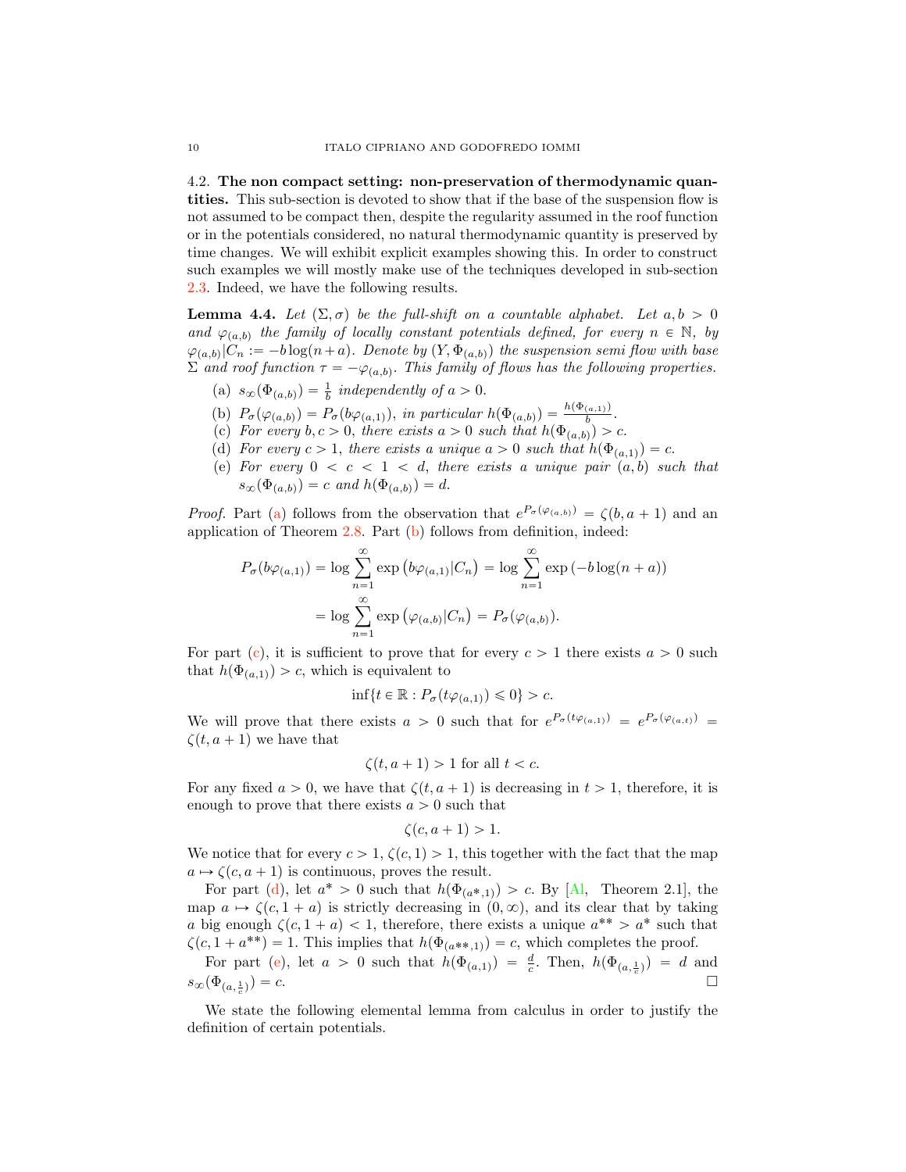<span id="page-9-7"></span><span id="page-9-0"></span>4.2. The non compact setting: non-preservation of thermodynamic quantities. This sub-section is devoted to show that if the base of the suspension flow is not assumed to be compact then, despite the regularity assumed in the roof function or in the potentials considered, no natural thermodynamic quantity is preserved by time changes. We will exhibit explicit examples showing this. In order to construct such examples we will mostly make use of the techniques developed in sub-section [2.3.](#page-3-0) Indeed, we have the following results.

<span id="page-9-6"></span>**Lemma 4.4.** Let  $(\Sigma, \sigma)$  be the full-shift on a countable alphabet. Let  $a, b > 0$ and  $\varphi_{(a,b)}$  the family of locally constant potentials defined, for every  $n \in \mathbb{N}$ , by  $\varphi_{(a,b)}|C_n := -b \log(n+a)$ . Denote by  $(Y, \Phi_{(a,b)})$  the suspension semi flow with base  $\Sigma$  and roof function  $\tau = -\varphi_{(a,b)}$ . This family of flows has the following properties.

- <span id="page-9-2"></span>(a)  $s_{\infty}(\Phi_{(a,b)}) = \frac{1}{b}$  independently of  $a > 0$ .
- <span id="page-9-3"></span>(b)  $P_{\sigma}(\varphi_{(a,b)}) = P_{\sigma}(b\varphi_{(a,1)}),$  in particular  $h(\Phi_{(a,b)}) = \frac{h(\Phi_{(a,1)})}{b}$ .
- <span id="page-9-4"></span>(c) For every  $b, c > 0$ , there exists  $a > 0$  such that  $h(\Phi_{(a,b)}) > c$ .
- <span id="page-9-5"></span>(d) For every  $c > 1$ , there exists a unique  $a > 0$  such that  $h(\Phi_{(a,1)}) = c$ .
- <span id="page-9-1"></span>(e) For every  $0 < c < 1 < d$ , there exists a unique pair  $(a, b)$  such that  $s_{\infty}(\Phi_{(a,b)}) = c$  and  $h(\Phi_{(a,b)}) = d$ .

*Proof.* Part [\(a\)](#page-9-2) follows from the observation that  $e^{P_{\sigma}(\varphi_{(a,b)})} = \zeta(b, a + 1)$  and an application of Theorem [2.8.](#page-4-0) Part [\(b\)](#page-9-3) follows from definition, indeed:

$$
P_{\sigma}(b\varphi_{(a,1)}) = \log \sum_{n=1}^{\infty} \exp (b\varphi_{(a,1)}|C_n) = \log \sum_{n=1}^{\infty} \exp (-b\log(n+a))
$$

$$
= \log \sum_{n=1}^{\infty} \exp (\varphi_{(a,b)}|C_n) = P_{\sigma}(\varphi_{(a,b)}).
$$

For part [\(c\)](#page-9-4), it is sufficient to prove that for every  $c > 1$  there exists  $a > 0$  such that  $h(\Phi_{(a,1)}) > c$ , which is equivalent to

$$
\inf\{t\in\mathbb{R}:P_{\sigma}(t\varphi_{(a,1)})\leq 0\}>c.
$$

We will prove that there exists  $a > 0$  such that for  $e^{P_{\sigma}(t\varphi_{(a,1)})} = e^{P_{\sigma}(\varphi_{(a,t)})}$  $\zeta(t, a + 1)$  we have that

$$
\zeta(t, a+1) > 1 \text{ for all } t < c.
$$

For any fixed  $a > 0$ , we have that  $\zeta(t, a + 1)$  is decreasing in  $t > 1$ , therefore, it is enough to prove that there exists  $a > 0$  such that

$$
\zeta(c, a+1) > 1.
$$

We notice that for every  $c > 1$ ,  $\zeta(c, 1) > 1$ , this together with the fact that the map  $a \mapsto \zeta(c, a + 1)$  is continuous, proves the result.

For part [\(d\)](#page-9-5), let  $a^* > 0$  such that  $h(\Phi_{(a^*,1)}) > c$ . By [\[Al,](#page-20-6) Theorem 2.1], the map  $a \mapsto \zeta(c, 1 + a)$  is strictly decreasing in  $(0, \infty)$ , and its clear that by taking a big enough  $\zeta(c, 1 + a) < 1$ , therefore, there exists a unique  $a^{**} > a^*$  such that  $\zeta(c, 1 + a^{**}) = 1$ . This implies that  $h(\Phi_{(a^{**},1)}) = c$ , which completes the proof.

For part [\(e\)](#page-9-1), let  $a > 0$  such that  $h(\Phi_{(a,1)}) = \frac{d}{c}$ . Then,  $h(\Phi_{(a,\frac{1}{c})}) = d$  and  $s_{\infty}(\Phi_{(a,\frac{1}{2})})=c.$  $(\frac{1}{c})$  = c.

We state the following elemental lemma from calculus in order to justify the definition of certain potentials.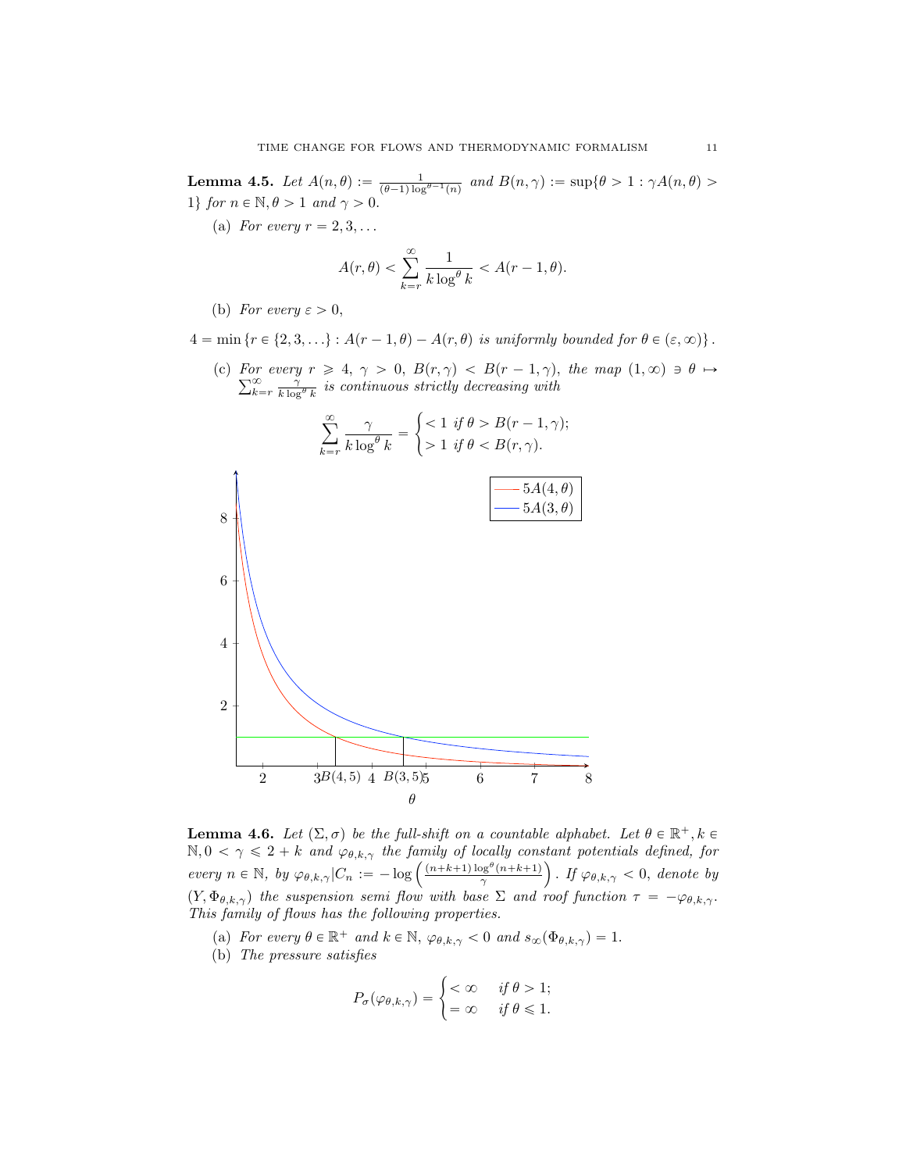<span id="page-10-4"></span>**Lemma 4.5.** Let  $A(n, \theta) := \frac{1}{(\theta-1)\log^{\theta-1}(n)}$  and  $B(n, \gamma) := \sup\{\theta > 1 : \gamma A(n, \theta) > \theta\}$ 1} for  $n \in \mathbb{N}, \theta > 1$  and  $\gamma > 0$ .

(a) For every  $r = 2, 3, \ldots$ 

$$
A(r,\theta) < \sum_{k=r}^{\infty} \frac{1}{k \log^{\theta} k} < A(r-1,\theta).
$$

- (b) For every  $\varepsilon > 0$ ,
- $4 = \min \{ r \in \{2, 3, \ldots \} : A(r-1, \theta) A(r, \theta) \text{ is uniformly bounded for } \theta \in (\varepsilon, \infty) \}.$ 
	- (c) For every For every  $r \geq 4$ ,  $\gamma > 0$ ,  $B(r, \gamma) < B(r - 1, \gamma)$ , the map  $(1, \infty) \ni \theta \mapsto \sum_{k=r}^{\infty} \frac{\gamma}{k \log^{\theta} k}$  is continuous strictly decreasing with



<span id="page-10-0"></span>**Lemma 4.6.** Let  $(\Sigma, \sigma)$  be the full-shift on a countable alphabet. Let  $\theta \in \mathbb{R}^+, k \in \mathbb{R}$  $\mathbb{N}, 0 < \gamma \leq 2 + k$  and  $\varphi_{\theta,k,\gamma}$  the family of locally constant potentials defined, for every  $n \in \mathbb{N}$ , by  $\varphi_{\theta,k,\gamma}$   $|C_n := -\log \left( \frac{(n+k+1)\log^{\theta}(n+k+1)}{\gamma} \right)$ ). If  $\varphi_{\theta,k,\gamma} < 0$ , denote by  $(Y, \Phi_{\theta, k,\gamma})$  the suspension semi flow with base  $\Sigma$  and roof function  $\tau = -\varphi_{\theta, k,\gamma}$ . This family of flows has the following properties.

- <span id="page-10-1"></span>(a) For every  $\theta \in \mathbb{R}^+$  and  $k \in \mathbb{N}$ ,  $\varphi_{\theta,k,\gamma} < 0$  and  $s_{\infty}(\Phi_{\theta,k,\gamma}) = 1$ .
- <span id="page-10-3"></span><span id="page-10-2"></span>(b) The pressure satisfies

$$
P_{\sigma}(\varphi_{\theta,k,\gamma}) = \begin{cases} < \infty & \text{if } \theta > 1; \\ = \infty & \text{if } \theta \leq 1. \end{cases}
$$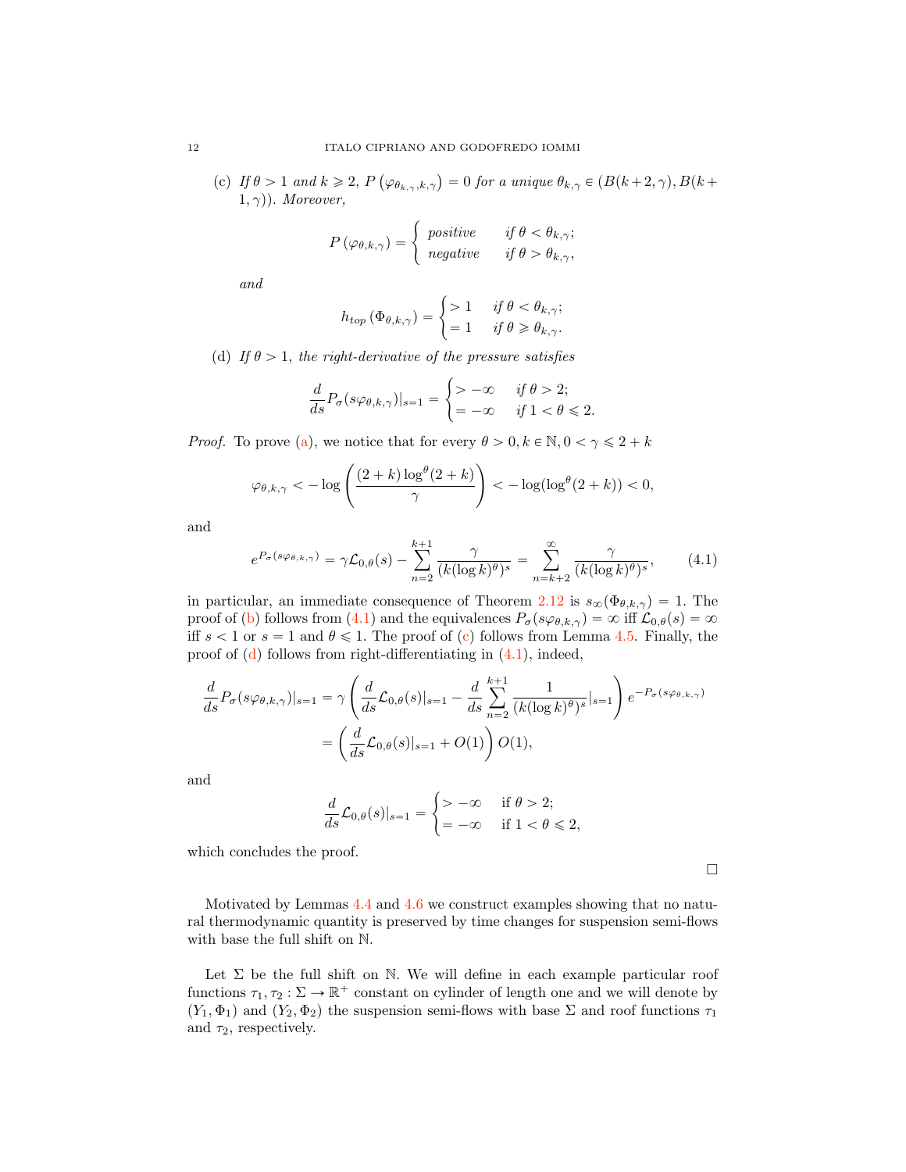(c) If  $\theta > 1$  and  $k \geq 2$ ,  $P \left( \varphi_{\theta_{k,\gamma},k,\gamma} \right) = 0$  for a unique  $\theta_{k,\gamma} \in (B(k+2,\gamma), B(k+1))$  $(1, \gamma)$ ). Moreover,

$$
P(\varphi_{\theta,k,\gamma}) = \begin{cases} positive & \text{if } \theta < \theta_{k,\gamma}; \\ negative & \text{if } \theta > \theta_{k,\gamma}, \end{cases}
$$

and

$$
h_{top}(\Phi_{\theta,k,\gamma}) = \begin{cases} > 1 & \text{if } \theta < \theta_{k,\gamma}; \\ = 1 & \text{if } \theta \ge \theta_{k,\gamma}. \end{cases}
$$

<span id="page-11-1"></span>(d) If  $\theta > 1$ , the right-derivative of the pressure satisfies

$$
\frac{d}{ds}P_{\sigma}\big(s\varphi_{\theta,k,\gamma}\big)|_{s=1} = \begin{cases} > -\infty & \text{ if } \theta > 2; \\ = -\infty & \text{ if } 1 < \theta \leqslant 2. \end{cases}
$$

*Proof.* To prove [\(a\)](#page-10-1), we notice that for every  $\theta > 0, k \in \mathbb{N}, 0 < \gamma \leq 2 + k$ 

$$
\varphi_{\theta,k,\gamma} < -\log\left(\frac{(2+k)\log^{\theta}(2+k)}{\gamma}\right) < -\log(\log^{\theta}(2+k)) < 0,
$$

and

<span id="page-11-0"></span>
$$
e^{P_{\sigma}(s\varphi_{\theta,k,\gamma})} = \gamma \mathcal{L}_{0,\theta}(s) - \sum_{n=2}^{k+1} \frac{\gamma}{(k(\log k)^{\theta})^s} = \sum_{n=k+2}^{\infty} \frac{\gamma}{(k(\log k)^{\theta})^s},\tag{4.1}
$$

in particular, an immediate consequence of Theorem [2.12](#page-5-1) is  $s_{\infty}(\Phi_{\theta,k,\gamma}) = 1$ . The proof of [\(b\)](#page-10-2) follows from [\(4.1\)](#page-11-0) and the equivalences  $P_{\sigma}(s\varphi_{\theta,k,\gamma}) = \infty$  iff  $\mathcal{L}_{0,\theta}(s) = \infty$ iff  $s < 1$  or  $s = 1$  and  $\theta \le 1$ . The proof of [\(c\)](#page-10-3) follows from Lemma [4.5.](#page-10-4) Finally, the proof of  $(d)$  follows from right-differentiating in  $(4.1)$ , indeed,

$$
\frac{d}{ds}P_{\sigma}(s\varphi_{\theta,k,\gamma})|_{s=1} = \gamma \left(\frac{d}{ds}\mathcal{L}_{0,\theta}(s)|_{s=1} - \frac{d}{ds}\sum_{n=2}^{k+1} \frac{1}{(k(\log k)^{\theta})^s}|_{s=1}\right) e^{-P_{\sigma}(s\varphi_{\theta,k,\gamma})}
$$

$$
= \left(\frac{d}{ds}\mathcal{L}_{0,\theta}(s)|_{s=1} + O(1)\right)O(1),
$$

and

$$
\frac{d}{ds}\mathcal{L}_{0,\theta}(s)|_{s=1} = \begin{cases} > -\infty & \text{if } \theta > 2; \\ = -\infty & \text{if } 1 < \theta \leq 2, \end{cases}
$$

which concludes the proof.

 $\Box$ 

Motivated by Lemmas [4.4](#page-9-6) and [4.6](#page-10-0) we construct examples showing that no natural thermodynamic quantity is preserved by time changes for suspension semi-flows with base the full shift on N.

Let  $\Sigma$  be the full shift on N. We will define in each example particular roof functions  $\tau_1, \tau_2 : \Sigma \to \mathbb{R}^+$  constant on cylinder of length one and we will denote by  $(Y_1, \Phi_1)$  and  $(Y_2, \Phi_2)$  the suspension semi-flows with base  $\Sigma$  and roof functions  $\tau_1$ and  $\tau_2$ , respectively.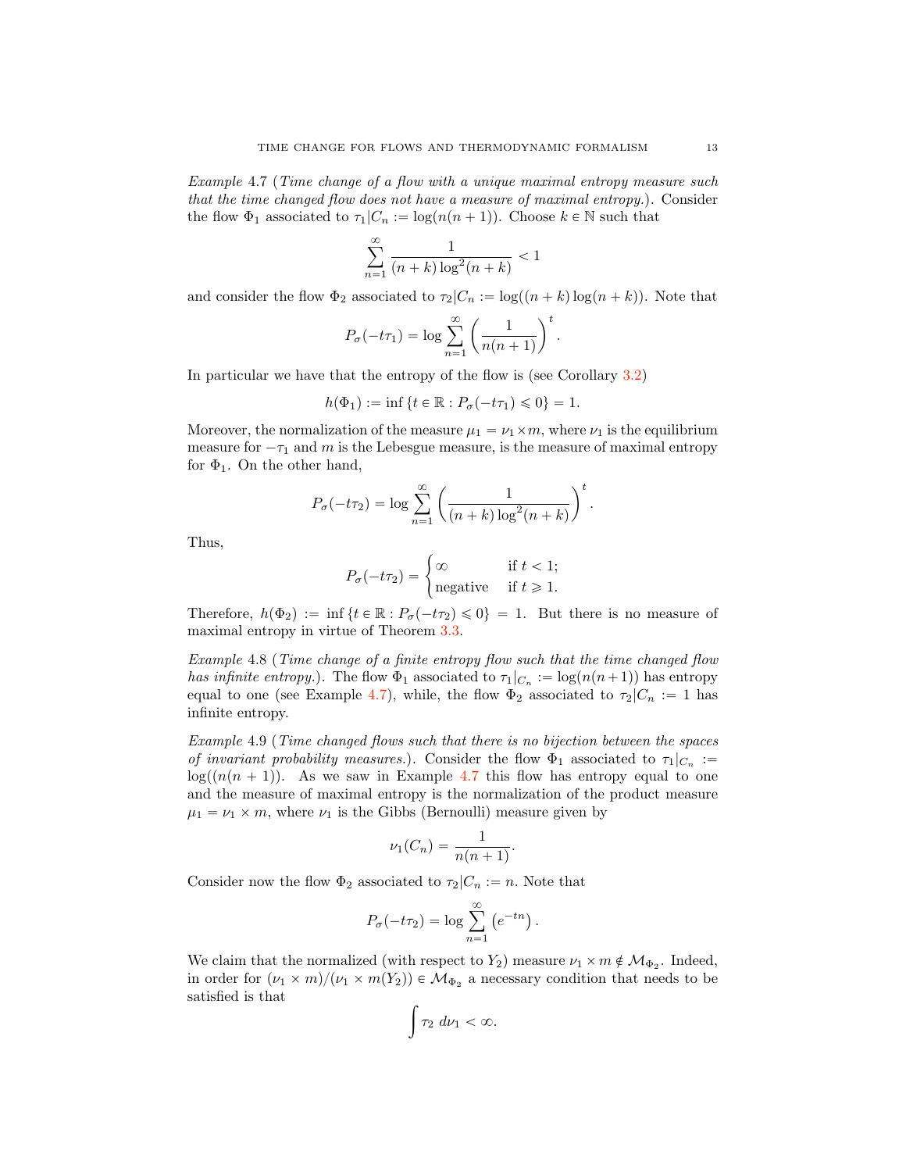<span id="page-12-0"></span>Example 4.7 (Time change of a flow with a unique maximal entropy measure such that the time changed flow does not have a measure of maximal entropy.). Consider the flow  $\Phi_1$  associated to  $\tau_1 | C_n := \log(n(n + 1))$ . Choose  $k \in \mathbb{N}$  such that

$$
\sum_{n=1}^{\infty} \frac{1}{(n+k)\log^2(n+k)} < 1
$$

and consider the flow  $\Phi_2$  associated to  $\tau_2 | C_n := \log((n + k) \log(n + k))$ . Note that

$$
P_{\sigma}(-t\tau_1) = \log \sum_{n=1}^{\infty} \left( \frac{1}{n(n+1)} \right)^t.
$$

In particular we have that the entropy of the flow is (see Corollary [3.2\)](#page-7-0)

$$
h(\Phi_1) := \inf \{ t \in \mathbb{R} : P_{\sigma}(-t\tau_1) \leq 0 \} = 1.
$$

Moreover, the normalization of the measure  $\mu_1 = \nu_1 \times m$ , where  $\nu_1$  is the equilibrium measure for  $-\tau_1$  and m is the Lebesgue measure, is the measure of maximal entropy for  $\Phi_1$ . On the other hand,

$$
P_{\sigma}(-t\tau_2) = \log \sum_{n=1}^{\infty} \left( \frac{1}{(n+k)\log^2(n+k)} \right)^t.
$$

Thus,

$$
P_{\sigma}(-t\tau_2) = \begin{cases} \infty & \text{if } t < 1; \\ \text{negative} & \text{if } t \geq 1. \end{cases}
$$

Therefore,  $h(\Phi_2) := \inf \{ t \in \mathbb{R} : P_{\sigma}(-t\tau_2) \leq 0 \} = 1$ . But there is no measure of maximal entropy in virtue of Theorem [3.3.](#page-7-1)

Example 4.8 (Time change of a finite entropy flow such that the time changed flow has infinite entropy.). The flow  $\Phi_1$  associated to  $\tau_1|_{C_n} := \log(n(n+1))$  has entropy equal to one (see Example [4.7\)](#page-12-0), while, the flow  $\Phi_2$  associated to  $\tau_2|C_n := 1$  has infinite entropy.

Example 4.9 (Time changed flows such that there is no bijection between the spaces of invariant probability measures.). Consider the flow  $\Phi_1$  associated to  $\tau_1|_{C_n} :=$  $log((n(n+1))$ . As we saw in Example [4.7](#page-12-0) this flow has entropy equal to one and the measure of maximal entropy is the normalization of the product measure  $\mu_1 = \nu_1 \times m$ , where  $\nu_1$  is the Gibbs (Bernoulli) measure given by

$$
\nu_1(C_n) = \frac{1}{n(n+1)}.
$$

Consider now the flow  $\Phi_2$  associated to  $\tau_2|C_n := n$ . Note that

$$
P_{\sigma}(-t\tau_2) = \log \sum_{n=1}^{\infty} (e^{-tn}).
$$

We claim that the normalized (with respect to  $Y_2$ ) measure  $\nu_1 \times m \notin \mathcal{M}_{\Phi_2}$ . Indeed, in order for  $(\nu_1 \times m)/(\nu_1 \times m(Y_2)) \in \mathcal{M}_{\Phi_2}$  a necessary condition that needs to be satisfied is that

$$
\int \tau_2 \ d\nu_1 < \infty.
$$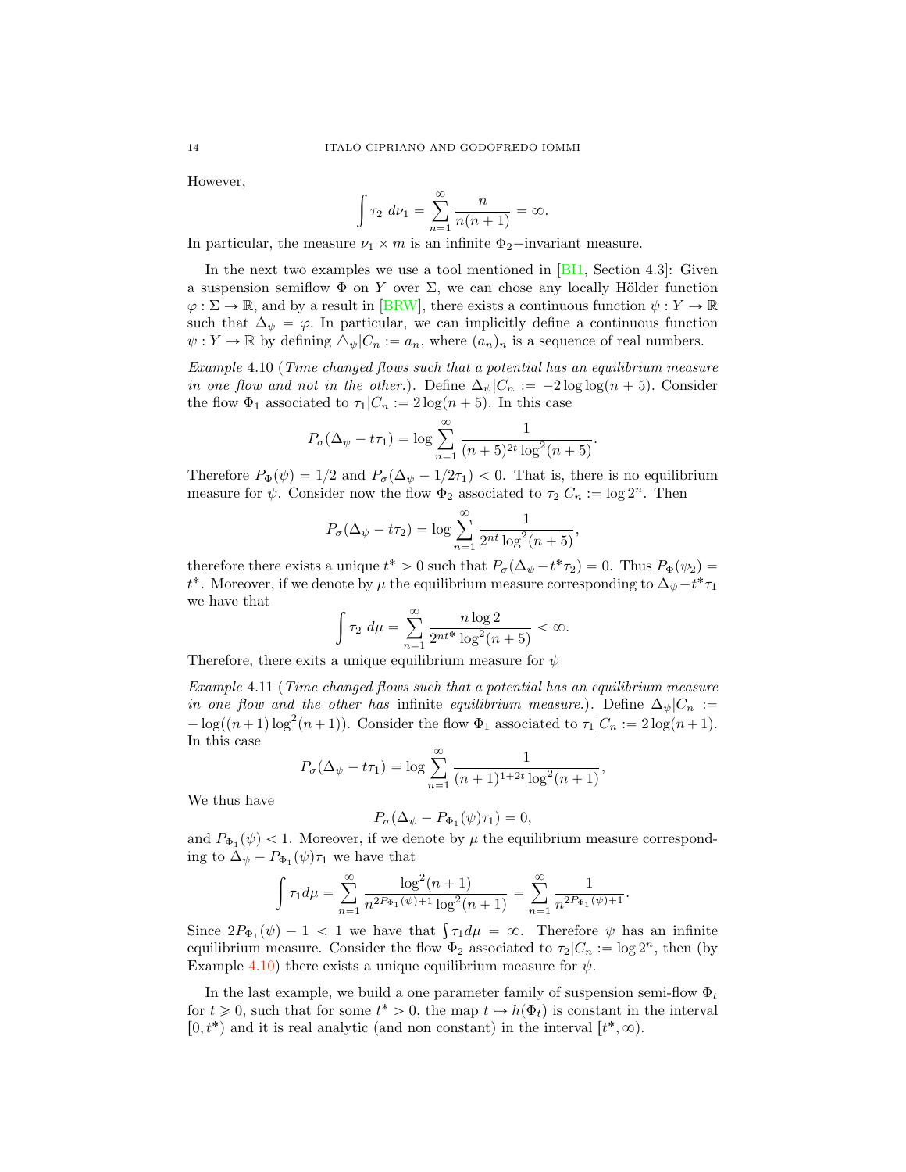However,

$$
\int \tau_2 \ d\nu_1 = \sum_{n=1}^{\infty} \frac{n}{n(n+1)} = \infty.
$$

In particular, the measure  $\nu_1 \times m$  is an infinite  $\Phi_2$ -invariant measure.

In the next two examples we use a tool mentioned in  $[**B11**]$ , Section 4.3. Given a suspension semiflow  $\Phi$  on Y over  $\Sigma$ , we can chose any locally Hölder function  $\varphi : \Sigma \to \mathbb{R}$ , and by a result in [\[BRW\]](#page-20-7), there exists a continuous function  $\psi : Y \to \mathbb{R}$ such that  $\Delta_{\psi} = \varphi$ . In particular, we can implicitly define a continuous function  $\psi: Y \to \mathbb{R}$  by defining  $\Delta_{\psi} |C_n := a_n$ , where  $(a_n)_n$  is a sequence of real numbers.

<span id="page-13-0"></span>Example 4.10 (Time changed flows such that a potential has an equilibrium measure in one flow and not in the other.). Define  $\Delta_{\psi}|C_n := -2 \log \log (n + 5)$ . Consider the flow  $\Phi_1$  associated to  $\tau_1 | C_n := 2 \log(n + 5)$ . In this case

$$
P_{\sigma}(\Delta_{\psi} - t\tau_1) = \log \sum_{n=1}^{\infty} \frac{1}{(n+5)^{2t} \log^2(n+5)}.
$$

Therefore  $P_{\Phi}(\psi) = 1/2$  and  $P_{\sigma}(\Delta_{\psi} - 1/2\tau_1) < 0$ . That is, there is no equilibrium measure for  $\psi$ . Consider now the flow  $\Phi_2$  associated to  $\tau_2|C_n := \log 2^n$ . Then

$$
P_{\sigma}(\Delta_{\psi}-t\tau_2) = \log \sum_{n=1}^{\infty} \frac{1}{2^{nt} \log^2(n+5)},
$$

therefore there exists a unique  $t^* > 0$  such that  $P_{\sigma}(\Delta_{\psi} - t^* \tau_2) = 0$ . Thus  $P_{\Phi}(\psi_2) =$  $t^*.$  Moreover, if we denote by  $\mu$  the equilibrium measure corresponding to  $\Delta_{\psi} - t^* \tau_1$ we have that

$$
\int \tau_2 \, d\mu = \sum_{n=1}^{\infty} \frac{n \log 2}{2^{nt^*} \log^2(n+5)} < \infty.
$$

Therefore, there exits a unique equilibrium measure for  $\psi$ 

Example 4.11 (Time changed flows such that a potential has an equilibrium measure in one flow and the other has infinite equilibrium measure.). Define  $\Delta_{\psi}|C_n :=$  $-\log((n+1)\log^2(n+1))$ . Consider the flow  $\Phi_1$  associated to  $\tau_1|C_n := 2\log(n+1)$ . In this case

$$
P_{\sigma}(\Delta_{\psi}-t\tau_1) = \log \sum_{n=1}^{\infty} \frac{1}{(n+1)^{1+2t} \log^2(n+1)},
$$

We thus have

$$
P_{\sigma}(\Delta_{\psi}-P_{\Phi_1}(\psi)\tau_1)=0,
$$

and  $P_{\Phi_1}(\psi) < 1$ . Moreover, if we denote by  $\mu$  the equilibrium measure corresponding to  $\Delta_{\psi} - P_{\Phi_1}(\psi) \tau_1$  we have that

$$
\int \tau_1 d\mu = \sum_{n=1}^{\infty} \frac{\log^2(n+1)}{n^{2P_{\Phi_1}(\psi)+1} \log^2(n+1)} = \sum_{n=1}^{\infty} \frac{1}{n^{2P_{\Phi_1}(\psi)+1}}.
$$

Since  $2P_{\Phi_1}(\psi) - 1 < 1$  we have that  $\int \tau_1 d\mu = \infty$ . Therefore  $\psi$  has an infinite equilibrium measure. Consider the flow  $\Phi_2$  associated to  $\tau_2|C_n := \log 2^n$ , then (by Example [4.10\)](#page-13-0) there exists a unique equilibrium measure for  $\psi$ .

In the last example, we build a one parameter family of suspension semi-flow  $\Phi_t$ for  $t \geq 0$ , such that for some  $t^* > 0$ , the map  $t \mapsto h(\Phi_t)$  is constant in the interval  $[0, t^*)$  and it is real analytic (and non constant) in the interval  $[t^*, \infty)$ .

<span id="page-13-1"></span>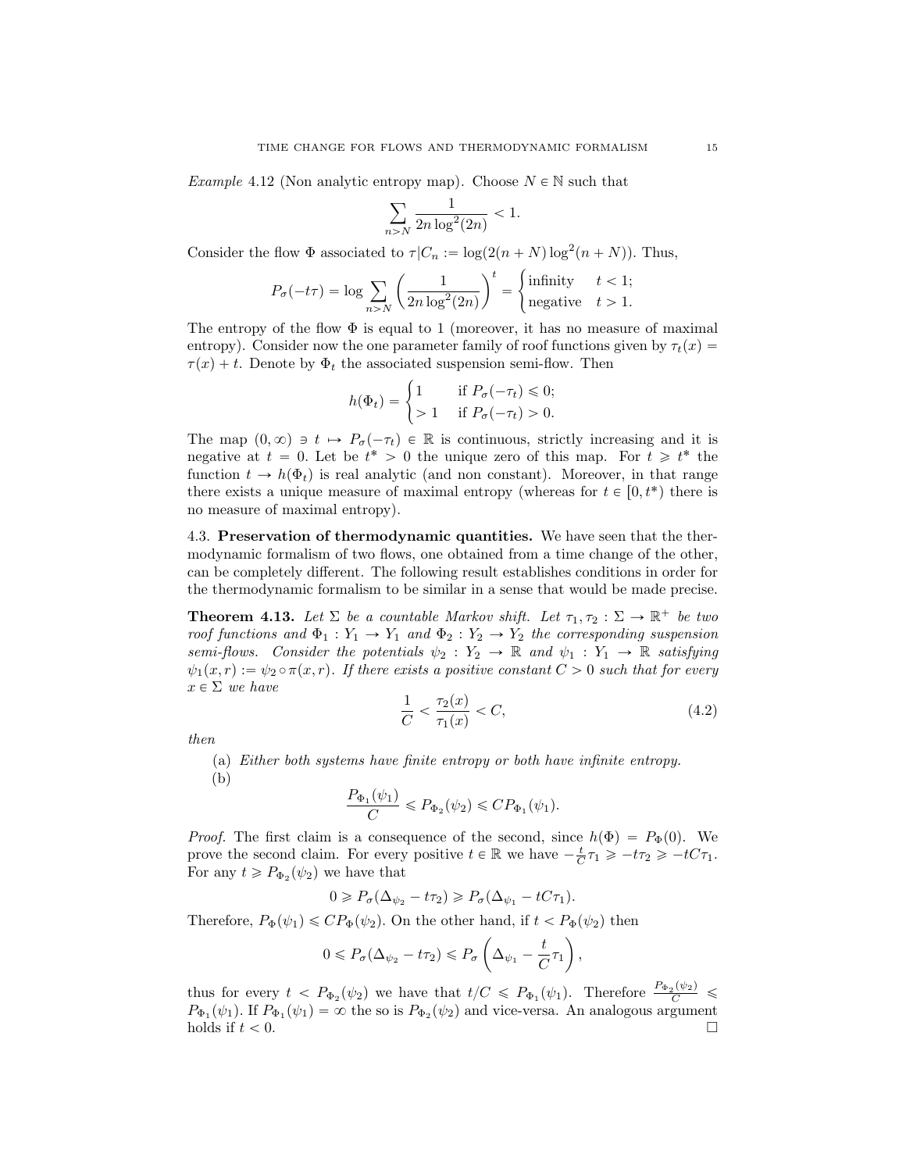*Example* 4.12 (Non analytic entropy map). Choose  $N \in \mathbb{N}$  such that

$$
\sum_{n>N} \frac{1}{2n \log^2(2n)} < 1.
$$

Consider the flow  $\Phi$  associated to  $\tau | C_n := \log(2(n + N) \log^2(n + N))$ . Thus,

$$
P_{\sigma}(-t\tau) = \log \sum_{n>N} \left( \frac{1}{2n \log^2(2n)} \right)^t = \begin{cases} \text{infinity} & t < 1; \\ \text{negative} & t > 1. \end{cases}
$$

The entropy of the flow  $\Phi$  is equal to 1 (moreover, it has no measure of maximal entropy). Consider now the one parameter family of roof functions given by  $\tau_t(x)$  $\tau(x) + t$ . Denote by  $\Phi_t$  the associated suspension semi-flow. Then

$$
h(\Phi_t) = \begin{cases} 1 & \text{if } P_{\sigma}(-\tau_t) \leq 0; \\ > 1 & \text{if } P_{\sigma}(-\tau_t) > 0. \end{cases}
$$

The map  $(0, \infty) \ni t \mapsto P_{\sigma}(-\tau_t) \in \mathbb{R}$  is continuous, strictly increasing and it is negative at  $t = 0$ . Let be  $t^* > 0$  the unique zero of this map. For  $t \geq t^*$  the function  $t \to h(\Phi_t)$  is real analytic (and non constant). Moreover, in that range there exists a unique measure of maximal entropy (whereas for  $t \in [0, t^*)$  there is no measure of maximal entropy).

4.3. Preservation of thermodynamic quantities. We have seen that the thermodynamic formalism of two flows, one obtained from a time change of the other, can be completely different. The following result establishes conditions in order for the thermodynamic formalism to be similar in a sense that would be made precise.

<span id="page-14-0"></span>**Theorem 4.13.** Let  $\Sigma$  be a countable Markov shift. Let  $\tau_1, \tau_2 : \Sigma \to \mathbb{R}^+$  be two roof functions and  $\Phi_1 : Y_1 \to Y_1$  and  $\Phi_2 : Y_2 \to Y_2$  the corresponding suspension semi-flows. Consider the potentials  $\psi_2 : Y_2 \to \mathbb{R}$  and  $\psi_1 : Y_1 \to \mathbb{R}$  satisfying  $\psi_1(x, r) := \psi_2 \circ \pi(x, r)$ . If there exists a positive constant  $C > 0$  such that for every  $x \in \Sigma$  we have

<span id="page-14-1"></span>
$$
\frac{1}{C} < \frac{\tau_2(x)}{\tau_1(x)} < C,\tag{4.2}
$$

then

(a) Either both systems have finite entropy or both have infinite entropy.

(b)

$$
\frac{P_{\Phi_1}(\psi_1)}{C} \le P_{\Phi_2}(\psi_2) \le CP_{\Phi_1}(\psi_1).
$$

*Proof.* The first claim is a consequence of the second, since  $h(\Phi) = P_{\Phi}(0)$ . We prove the second claim. For every positive  $t \in \mathbb{R}$  we have  $-\frac{t}{C}\tau_1 \geq -t\tau_2 \geq -tC\tau_1$ . For any  $t \ge P_{\Phi_2}(\psi_2)$  we have that

$$
0 \geqslant P_{\sigma}(\Delta_{\psi_2} - t\tau_2) \geqslant P_{\sigma}(\Delta_{\psi_1} - tC\tau_1).
$$

Therefore,  $P_{\Phi}(\psi_1) \leq CP_{\Phi}(\psi_2)$ . On the other hand, if  $t < P_{\Phi}(\psi_2)$  then

$$
0 \leq P_{\sigma}(\Delta_{\psi_2} - t\tau_2) \leq P_{\sigma}\left(\Delta_{\psi_1} - \frac{t}{C}\tau_1\right),\,
$$

thus for every  $t < P_{\Phi_2}(\psi_2)$  we have that  $t/C \leq P_{\Phi_1}(\psi_1)$ . Therefore  $\frac{P_{\Phi_2}(\psi_2)}{C} \leq$  $P_{\Phi_1}(\psi_1)$ . If  $P_{\Phi_1}(\psi_1) = \infty$  the so is  $P_{\Phi_2}(\psi_2)$  and vice-versa. An analogous argument holds if  $t < 0$ . holds if  $t < 0$ .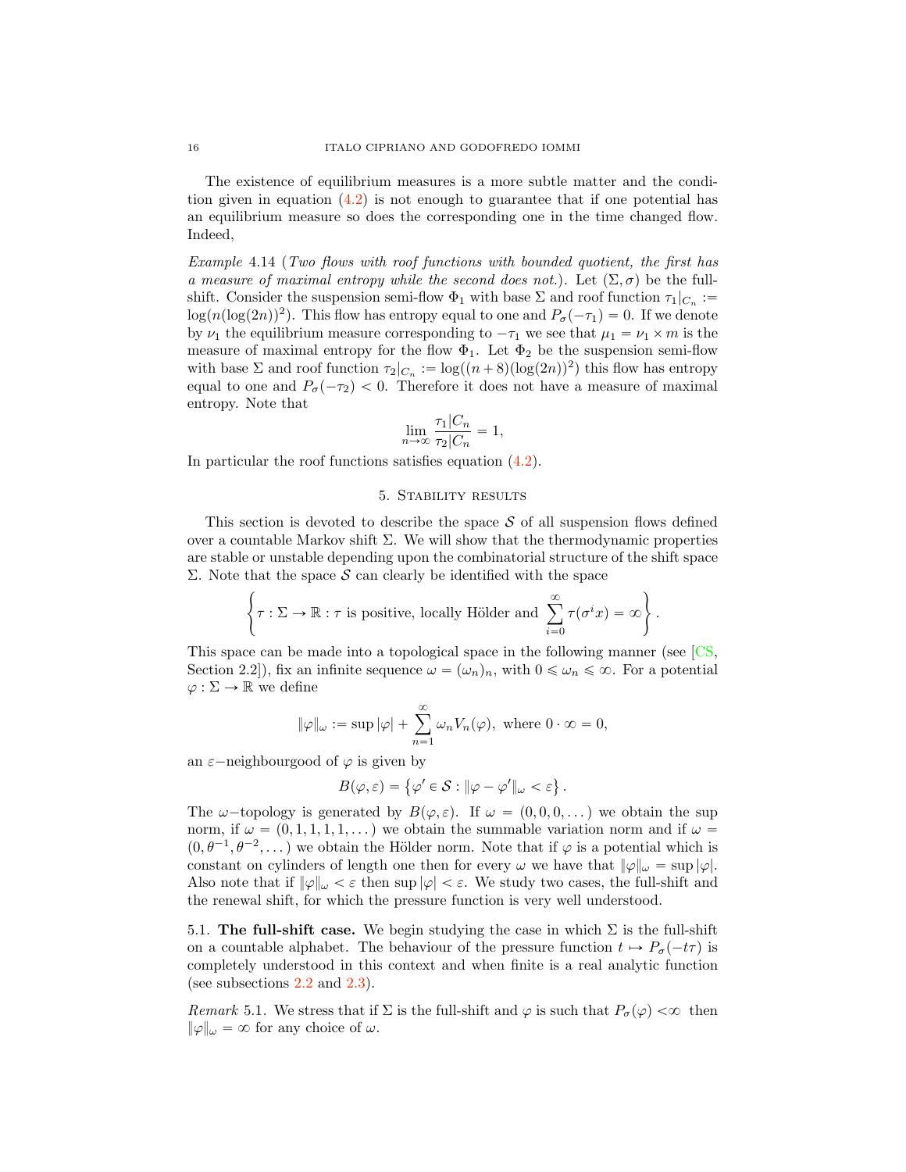<span id="page-15-1"></span>The existence of equilibrium measures is a more subtle matter and the condition given in equation  $(4.2)$  is not enough to guarantee that if one potential has an equilibrium measure so does the corresponding one in the time changed flow. Indeed,

Example 4.14 (Two flows with roof functions with bounded quotient, the first has a measure of maximal entropy while the second does not.). Let  $(\Sigma, \sigma)$  be the fullshift. Consider the suspension semi-flow  $\Phi_1$  with base  $\Sigma$  and roof function  $\tau_1|_{C_n} :=$  $\log(n(\log(2n))^2)$ . This flow has entropy equal to one and  $P_\sigma(-\tau_1)=0$ . If we denote by  $\nu_1$  the equilibrium measure corresponding to  $-\tau_1$  we see that  $\mu_1 = \nu_1 \times m$  is the measure of maximal entropy for the flow  $\Phi_1$ . Let  $\Phi_2$  be the suspension semi-flow with base  $\Sigma$  and roof function  $\tau_2|_{C_n} := \log((n+8)(\log(2n))^2)$  this flow has entropy equal to one and  $P_{\sigma}(-\tau_2)$  < 0. Therefore it does not have a measure of maximal entropy. Note that

$$
\lim_{n \to \infty} \frac{\tau_1 | C_n}{\tau_2 | C_n} = 1,
$$

In particular the roof functions satisfies equation [\(4.2\)](#page-14-1).

#### 5. Stability results

<span id="page-15-0"></span>This section is devoted to describe the space  $S$  of all suspension flows defined over a countable Markov shift  $\Sigma$ . We will show that the thermodynamic properties are stable or unstable depending upon the combinatorial structure of the shift space Σ. Note that the space S can clearly be identified with the space

$$
\left\{\tau : \Sigma \to \mathbb{R} : \tau \text{ is positive, locally Hölder and } \sum_{i=0}^{\infty} \tau(\sigma^i x) = \infty\right\}.
$$

This space can be made into a topological space in the following manner (see [\[CS,](#page-21-20) Section 2.2]), fix an infinite sequence  $\omega = (\omega_n)_n$ , with  $0 \le \omega_n \le \infty$ . For a potential  $\varphi : \Sigma \to \mathbb{R}$  we define

$$
\|\varphi\|_{\omega} := \sup |\varphi| + \sum_{n=1}^{\infty} \omega_n V_n(\varphi), \text{ where } 0 \cdot \infty = 0,
$$

an  $\varepsilon$ -neighbourgood of  $\varphi$  is given by

$$
B(\varphi,\varepsilon)=\left\{\varphi'\in\mathcal{S}:\|\varphi-\varphi'\|_\omega<\varepsilon\right\}.
$$

The  $\omega$ -topology is generated by  $B(\varphi, \varepsilon)$ . If  $\omega = (0, 0, 0, ...)$  we obtain the sup norm, if  $\omega = (0, 1, 1, 1, 1, ...)$  we obtain the summable variation norm and if  $\omega =$  $(0, \theta^{-1}, \theta^{-2}, \dots)$  we obtain the Hölder norm. Note that if  $\varphi$  is a potential which is constant on cylinders of length one then for every  $\omega$  we have that  $\|\varphi\|_{\omega} = \sup |\varphi|$ . Also note that if  $\|\varphi\|_{\omega} < \varepsilon$  then sup  $|\varphi| < \varepsilon$ . We study two cases, the full-shift and the renewal shift, for which the pressure function is very well understood.

5.1. The full-shift case. We begin studying the case in which  $\Sigma$  is the full-shift on a countable alphabet. The behaviour of the pressure function  $t \mapsto P_{\sigma}(-t\tau)$  is completely understood in this context and when finite is a real analytic function (see subsections [2.2](#page-2-0) and [2.3\)](#page-3-0).

Remark 5.1. We stress that if  $\Sigma$  is the full-shift and  $\varphi$  is such that  $P_{\sigma}(\varphi) < \infty$  then  $\|\varphi\|_{\omega} = \infty$  for any choice of  $\omega$ .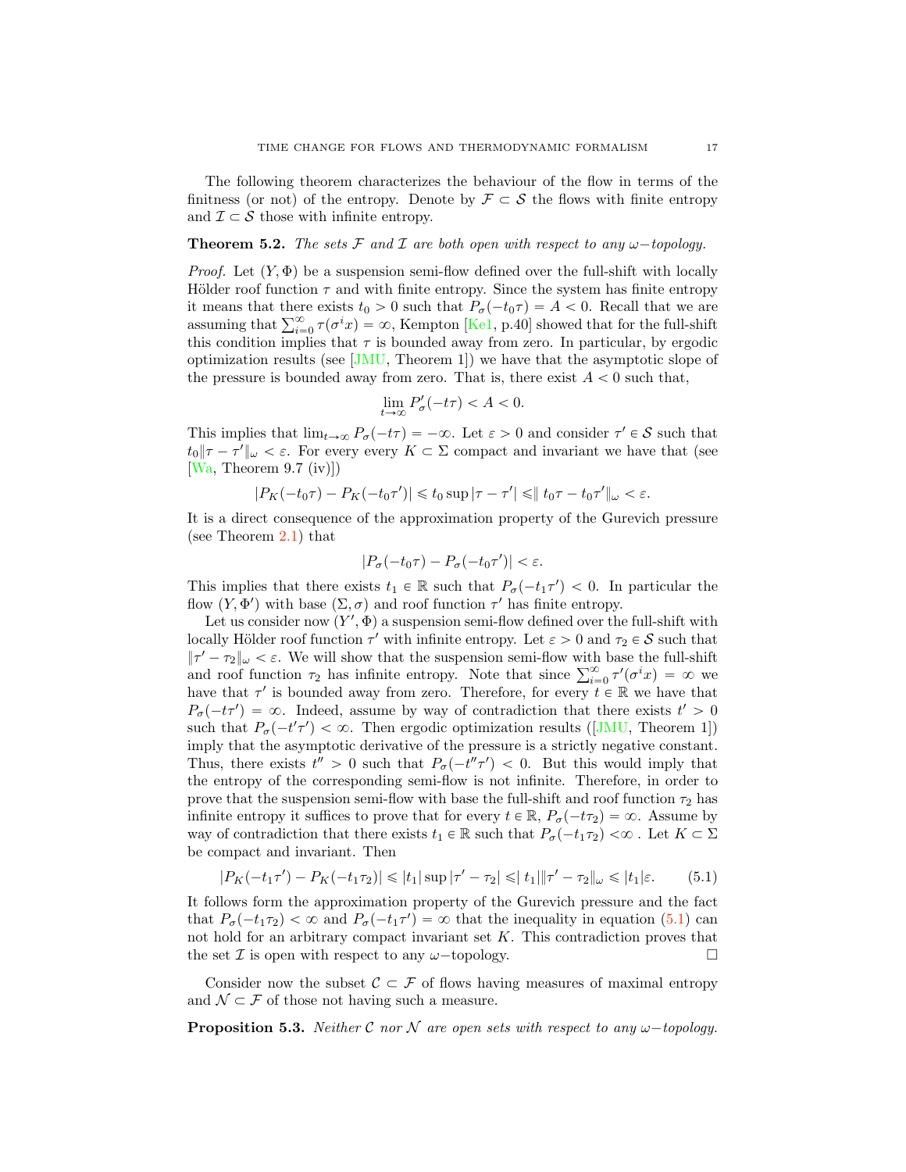<span id="page-16-1"></span>The following theorem characterizes the behaviour of the flow in terms of the finitness (or not) of the entropy. Denote by  $\mathcal{F} \subset \mathcal{S}$  the flows with finite entropy and  $\mathcal{I} \subset \mathcal{S}$  those with infinite entropy.

### **Theorem 5.2.** The sets F and I are both open with respect to any  $\omega$ -topology.

*Proof.* Let  $(Y, \Phi)$  be a suspension semi-flow defined over the full-shift with locally Hölder roof function  $\tau$  and with finite entropy. Since the system has finite entropy it means that there exists  $t_0 > 0$  such that  $P_{\sigma}(-t_0\tau) = A < 0$ . Recall that we are assuming that  $\sum_{i=0}^{\infty} \tau(\sigma^i x) = \infty$ , Kempton [\[Ke1,](#page-21-21) p.40] showed that for the full-shift this condition implies that  $\tau$  is bounded away from zero. In particular, by ergodic optimization results (see  $\text{[JMU]}$ , Theorem 1) we have that the asymptotic slope of the pressure is bounded away from zero. That is, there exist  $A < 0$  such that,

$$
\lim_{t \to \infty} P_{\sigma}'(-t\tau) < A < 0.
$$

This implies that  $\lim_{t\to\infty} P_{\sigma}(-t\tau) = -\infty$ . Let  $\varepsilon > 0$  and consider  $\tau' \in \mathcal{S}$  such that  $t_0$   $\|\tau - \tau'\|_{\omega} < \varepsilon$ . For every every  $K \subset \Sigma$  compact and invariant we have that (see  $[Wa, Theorem 9.7 (iv)]$  $[Wa, Theorem 9.7 (iv)]$ 

$$
|P_K(-t_0\tau) - P_K(-t_0\tau')| \leq t_0 \sup |\tau - \tau'| \leq ||t_0\tau - t_0\tau'||_{\omega} < \varepsilon.
$$

It is a direct consequence of the approximation property of the Gurevich pressure (see Theorem [2.1\)](#page-2-1) that

$$
|P_{\sigma}(-t_0\tau) - P_{\sigma}(-t_0\tau')| < \varepsilon.
$$

This implies that there exists  $t_1 \in \mathbb{R}$  such that  $P_{\sigma}(-t_1 \tau') < 0$ . In particular the flow  $(Y, \Phi')$  with base  $(\Sigma, \sigma)$  and roof function  $\tau'$  has finite entropy.

Let us consider now  $(Y', \Phi)$  a suspension semi-flow defined over the full-shift with locally Hölder roof function  $\tau'$  with infinite entropy. Let  $\varepsilon > 0$  and  $\tau_2 \in \mathcal{S}$  such that  $|\tau' - \tau_2|_{\omega} < \varepsilon$ . We will show that the suspension semi-flow with base the full-shift and roof function  $\tau_2$  has infinite entropy. Note that since  $\sum_{i=0}^{\infty} \tau'(\sigma^i x) = \infty$  we have that  $\tau'$  is bounded away from zero. Therefore, for every  $t \in \mathbb{R}$  we have that  $P_{\sigma}(-t\tau') = \infty$ . Indeed, assume by way of contradiction that there exists  $t' > 0$ such that  $P_{\sigma}(-t'\tau') < \infty$ . Then ergodic optimization results ([\[JMU,](#page-21-22) Theorem 1]) imply that the asymptotic derivative of the pressure is a strictly negative constant. Thus, there exists  $t'' > 0$  such that  $P_{\sigma}(-t''\tau') < 0$ . But this would imply that the entropy of the corresponding semi-flow is not infinite. Therefore, in order to prove that the suspension semi-flow with base the full-shift and roof function  $\tau_2$  has infinite entropy it suffices to prove that for every  $t \in \mathbb{R}$ ,  $P_{\sigma}(-t\tau_2) = \infty$ . Assume by way of contradiction that there exists  $t_1 \in \mathbb{R}$  such that  $P_{\sigma}(-t_1\tau_2) < \infty$ . Let  $K \subset \Sigma$ be compact and invariant. Then

<span id="page-16-0"></span>
$$
|P_K(-t_1\tau') - P_K(-t_1\tau_2)| \le |t_1| \sup |\tau' - \tau_2| \le |t_1| \|\tau' - \tau_2\|_{\omega} \le |t_1|\varepsilon. \tag{5.1}
$$

It follows form the approximation property of the Gurevich pressure and the fact that  $P_{\sigma}(-t_1\tau_2) < \infty$  and  $P_{\sigma}(-t_1\tau') = \infty$  that the inequality in equation [\(5.1\)](#page-16-0) can not hold for an arbitrary compact invariant set K. This contradiction proves that the set  $\mathcal I$  is open with respect to any  $\omega$ -topology.

Consider now the subset  $\mathcal{C} \subset \mathcal{F}$  of flows having measures of maximal entropy and  $\mathcal{N} \subset \mathcal{F}$  of those not having such a measure.

**Proposition 5.3.** Neither C nor N are open sets with respect to any  $\omega$ -topology.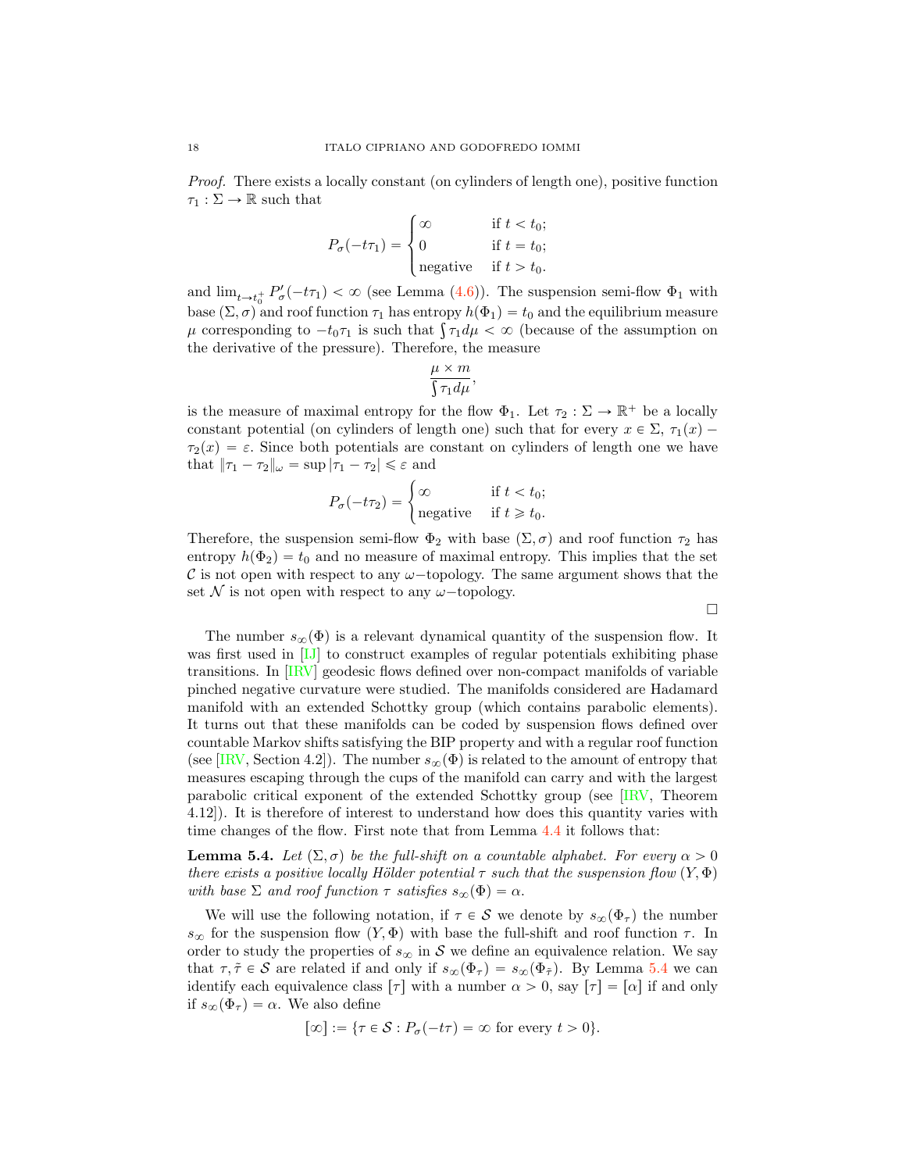<span id="page-17-1"></span>Proof. There exists a locally constant (on cylinders of length one), positive function  $\tau_1 : \Sigma \to \mathbb{R}$  such that

$$
P_{\sigma}(-t\tau_1) = \begin{cases} \infty & \text{if } t < t_0; \\ 0 & \text{if } t = t_0; \\ \text{negative} & \text{if } t > t_0. \end{cases}
$$

and  $\lim_{t \to t_0^+} P_\sigma'(-t\tau_1) < \infty$  (see Lemma [\(4.6\)](#page-10-0)). The suspension semi-flow  $\Phi_1$  with base  $(\Sigma, \sigma)$  and roof function  $\tau_1$  has entropy  $h(\Phi_1) = t_0$  and the equilibrium measure  $\mu$  corresponding to  $-t_0\tau_1$  is such that  $\int \tau_1 d\mu < \infty$  (because of the assumption on the derivative of the pressure). Therefore, the measure

$$
\frac{\mu\times m}{\int\!\tau_1d\mu},
$$

is the measure of maximal entropy for the flow  $\Phi_1$ . Let  $\tau_2 : \Sigma \to \mathbb{R}^+$  be a locally constant potential (on cylinders of length one) such that for every  $x \in \Sigma$ ,  $\tau_1(x)$  $\tau_2(x) = \varepsilon$ . Since both potentials are constant on cylinders of length one we have that  $|\tau_1 - \tau_2|_{\omega} = \sup |\tau_1 - \tau_2| \leq \varepsilon$  and

$$
P_{\sigma}(-t\tau_2) = \begin{cases} \infty & \text{if } t < t_0; \\ \text{negative} & \text{if } t \geq t_0. \end{cases}
$$

Therefore, the suspension semi-flow  $\Phi_2$  with base  $(\Sigma, \sigma)$  and roof function  $\tau_2$  has entropy  $h(\Phi_2) = t_0$  and no measure of maximal entropy. This implies that the set C is not open with respect to any  $\omega$ -topology. The same argument shows that the set N is not open with respect to any  $\omega$ -topology.

 $\Box$ 

The number  $s_{\infty}(\Phi)$  is a relevant dynamical quantity of the suspension flow. It was first used in [\[IJ\]](#page-21-16) to construct examples of regular potentials exhibiting phase transitions. In [\[IRV\]](#page-21-8) geodesic flows defined over non-compact manifolds of variable pinched negative curvature were studied. The manifolds considered are Hadamard manifold with an extended Schottky group (which contains parabolic elements). It turns out that these manifolds can be coded by suspension flows defined over countable Markov shifts satisfying the BIP property and with a regular roof function (see [\[IRV,](#page-21-8) Section 4.2]). The number  $s_{\infty}(\Phi)$  is related to the amount of entropy that measures escaping through the cups of the manifold can carry and with the largest parabolic critical exponent of the extended Schottky group (see [\[IRV,](#page-21-8) Theorem 4.12]). It is therefore of interest to understand how does this quantity varies with time changes of the flow. First note that from Lemma [4.4](#page-9-6) it follows that:

<span id="page-17-0"></span>**Lemma 5.4.** Let  $(\Sigma, \sigma)$  be the full-shift on a countable alphabet. For every  $\alpha > 0$ there exists a positive locally Hölder potential  $\tau$  such that the suspension flow  $(Y, \Phi)$ with base  $\Sigma$  and roof function  $\tau$  satisfies  $s_{\infty}(\Phi) = \alpha$ .

We will use the following notation, if  $\tau \in S$  we denote by  $s_{\infty}(\Phi_{\tau})$  the number  $s_{\infty}$  for the suspension flow  $(Y, \Phi)$  with base the full-shift and roof function  $\tau$ . In order to study the properties of  $s_{\infty}$  in S we define an equivalence relation. We say that  $\tau, \tilde{\tau} \in \mathcal{S}$  are related if and only if  $s_{\infty}(\Phi_{\tau}) = s_{\infty}(\Phi_{\tilde{\tau}})$ . By Lemma [5.4](#page-17-0) we can identify each equivalence class  $\lceil \tau \rceil$  with a number  $\alpha > 0$ , say  $\lceil \tau \rceil = \lceil \alpha \rceil$  if and only if  $s_{\infty}(\Phi_{\tau}) = \alpha$ . We also define

$$
[\infty] := \{ \tau \in \mathcal{S} : P_{\sigma}(-t\tau) = \infty \text{ for every } t > 0 \}.
$$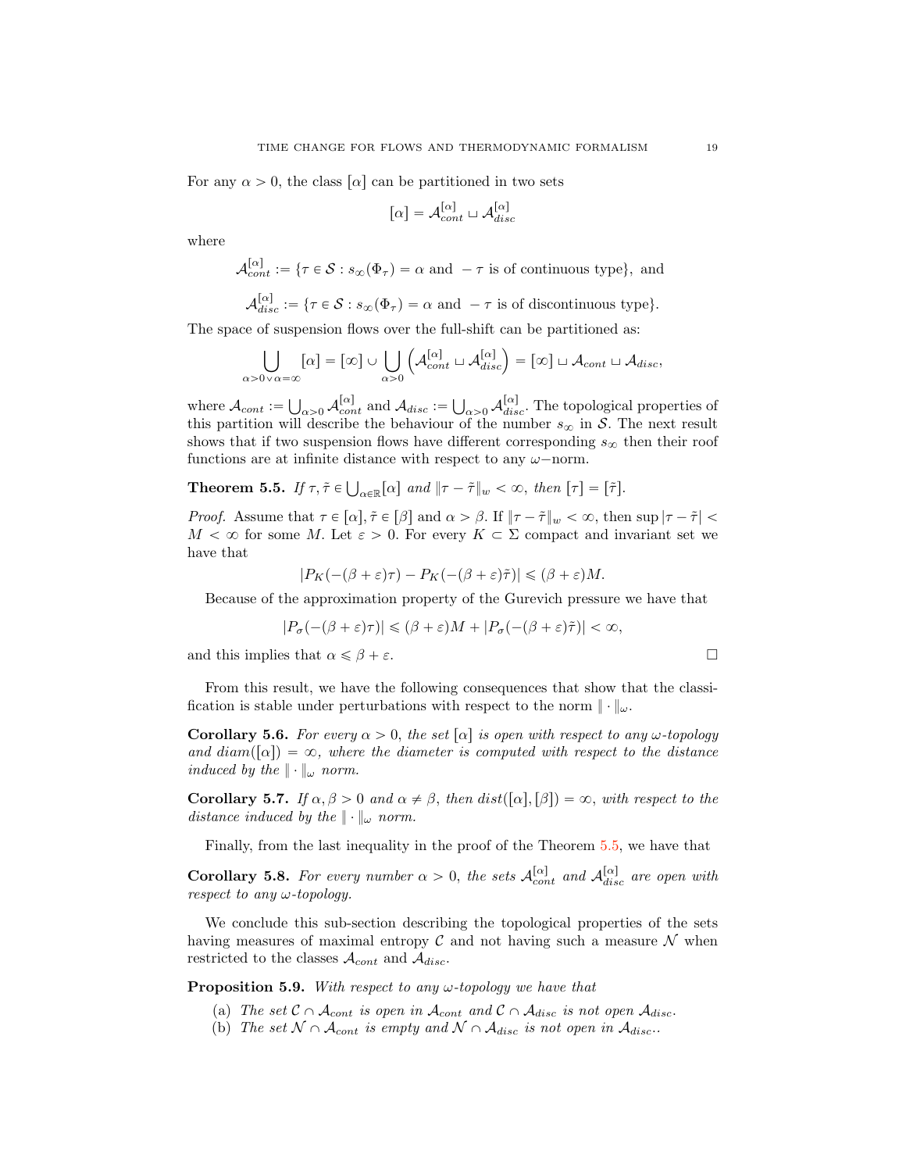For any  $\alpha > 0$ , the class  $\lceil \alpha \rceil$  can be partitioned in two sets

$$
[\alpha] = \mathcal{A}_{cont}^{[\alpha]} \sqcup \mathcal{A}_{disc}^{[\alpha]}
$$

where

$$
\mathcal{A}_{cont}^{[\alpha]} := \{ \tau \in \mathcal{S} : s_{\infty}(\Phi_{\tau}) = \alpha \text{ and } -\tau \text{ is of continuous type} \}, \text{ and}
$$

$$
\mathcal{A}_{disc}^{[\alpha]} := \{ \tau \in \mathcal{S} : s_{\infty}(\Phi_{\tau}) = \alpha \text{ and } -\tau \text{ is of discontinuous type} \}.
$$

The space of suspension flows over the full-shift can be partitioned as:

$$
\bigcup_{\alpha>0\vee\alpha=\infty} [\alpha] = [\infty] \cup \bigcup_{\alpha>0} \left( \mathcal{A}_{cont}^{[\alpha]} \sqcup \mathcal{A}_{disc}^{[\alpha]} \right) = [\infty] \sqcup \mathcal{A}_{cont} \sqcup \mathcal{A}_{disc},
$$

where  $\mathcal{A}_{cont} := \bigcup_{\alpha>0} \mathcal{A}_{cont}^{[\alpha]}$  and  $\mathcal{A}_{disc} := \bigcup_{\alpha>0} \mathcal{A}_{disc}^{[\alpha]}$ . The topological properties of this partition will describe the behaviour of the number  $s_{\infty}$  in S. The next result shows that if two suspension flows have different corresponding  $s_{\infty}$  then their roof functions are at infinite distance with respect to any  $\omega$ -norm.

# <span id="page-18-0"></span>**Theorem 5.5.** If  $\tau, \tilde{\tau} \in \bigcup_{\alpha \in \mathbb{R}} [\alpha]$  and  $\|\tau - \tilde{\tau}\|_{w} < \infty$ , then  $[\tau] = [\tilde{\tau}]$ .

*Proof.* Assume that  $\tau \in [\alpha], \tilde{\tau} \in [\beta]$  and  $\alpha > \beta$ . If  $\|\tau - \tilde{\tau}\|_{w} < \infty$ , then sup  $|\tau - \tilde{\tau}| <$  $M < \infty$  for some M. Let  $\varepsilon > 0$ . For every  $K \subset \Sigma$  compact and invariant set we have that

$$
|P_K(-(\beta + \varepsilon)\tau) - P_K(-(\beta + \varepsilon)\tilde{\tau})| \leq (\beta + \varepsilon)M.
$$

Because of the approximation property of the Gurevich pressure we have that

$$
|P_{\sigma}(-(\beta + \varepsilon)\tau)| \leq (\beta + \varepsilon)M + |P_{\sigma}(-(\beta + \varepsilon)\tilde{\tau})| < \infty,
$$

and this implies that  $\alpha \leq \beta + \varepsilon$ .

From this result, we have the following consequences that show that the classification is stable under perturbations with respect to the norm 
$$
\|\cdot\|_{\omega}
$$
.

**Corollary 5.6.** For every  $\alpha > 0$ , the set  $[\alpha]$  is open with respect to any  $\omega$ -topology and  $diam([\alpha]) = \infty$ , where the diameter is computed with respect to the distance induced by the  $\|\cdot\|_{\omega}$  norm.

Corollary 5.7. If  $\alpha, \beta > 0$  and  $\alpha \neq \beta$ , then  $dist([\alpha], [\beta]) = \infty$ , with respect to the distance induced by the  $\|\cdot\|_{\omega}$  norm.

Finally, from the last inequality in the proof of the Theorem [5.5,](#page-18-0) we have that

**Corollary 5.8.** For every number  $\alpha > 0$ , the sets  $\mathcal{A}_{cont}^{[\alpha]}$  and  $\mathcal{A}_{disc}^{[\alpha]}$  are open with respect to any  $\omega$ -topology.

We conclude this sub-section describing the topological properties of the sets having measures of maximal entropy  $\mathcal C$  and not having such a measure  $\mathcal N$  when restricted to the classes  $\mathcal{A}_{cont}$  and  $\mathcal{A}_{disc}$ .

**Proposition 5.9.** With respect to any  $\omega$ -topology we have that

- (a) The set  $\mathcal{C} \cap \mathcal{A}_{cont}$  is open in  $\mathcal{A}_{cont}$  and  $\mathcal{C} \cap \mathcal{A}_{disc}$  is not open  $\mathcal{A}_{disc}$ .
- (b) The set  $\mathcal{N} \cap \mathcal{A}_{cont}$  is empty and  $\mathcal{N} \cap \mathcal{A}_{disc}$  is not open in  $\mathcal{A}_{disc}$ .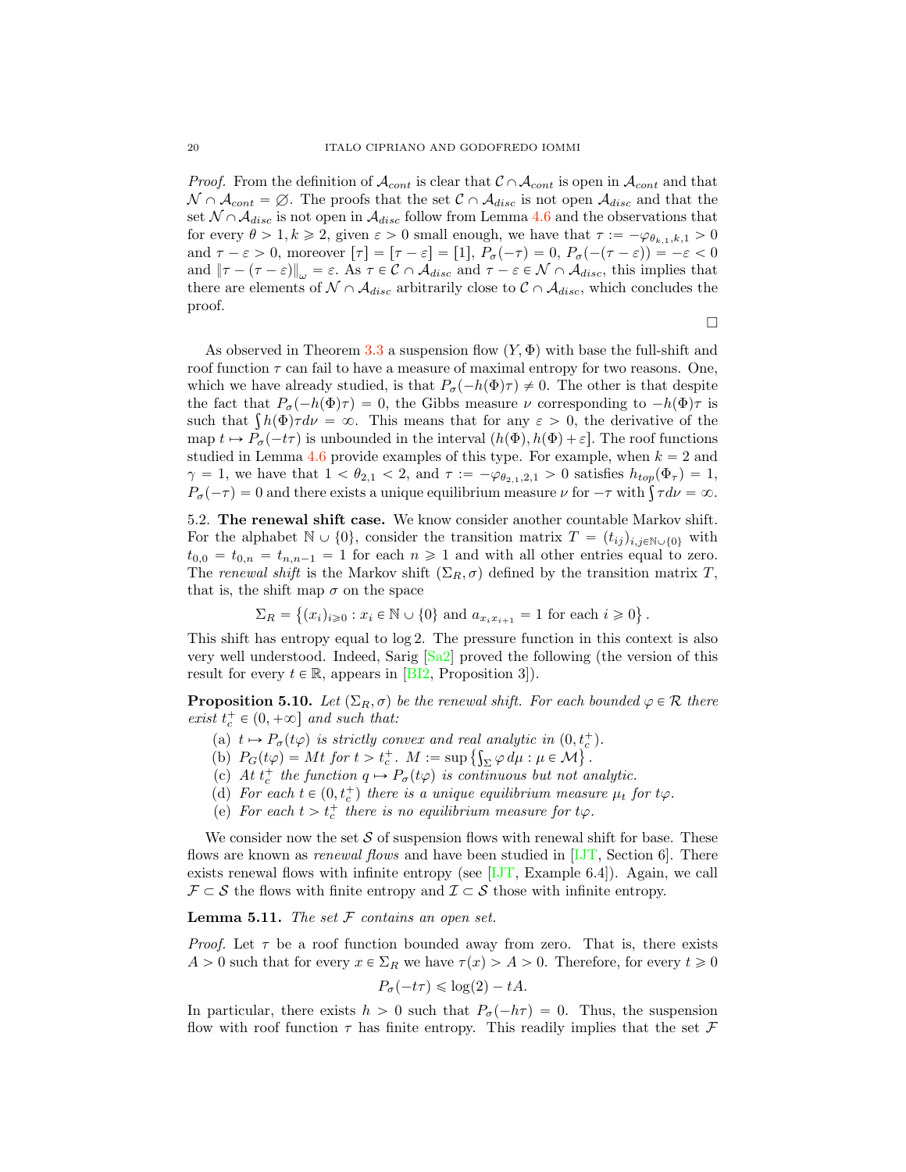<span id="page-19-0"></span>*Proof.* From the definition of  $\mathcal{A}_{cont}$  is clear that  $\mathcal{C} \cap \mathcal{A}_{cont}$  is open in  $\mathcal{A}_{cont}$  and that  $\mathcal{N} \cap \mathcal{A}_{cont} = \emptyset$ . The proofs that the set  $\mathcal{C} \cap \mathcal{A}_{disc}$  is not open  $\mathcal{A}_{disc}$  and that the set  $\mathcal{N} \cap \mathcal{A}_{disc}$  is not open in  $\mathcal{A}_{disc}$  follow from Lemma [4.6](#page-10-0) and the observations that for every  $\theta > 1, k \ge 2$ , given  $\varepsilon > 0$  small enough, we have that  $\tau := -\varphi_{\theta_{k,1},k,1} > 0$ and  $\tau - \varepsilon > 0$ , moreover  $[\tau] = [\tau - \varepsilon] = [1], P_{\sigma}(-\tau) = 0, P_{\sigma}(-(\tau - \varepsilon)) = -\varepsilon < 0$ and  $\|\tau - (\tau - \varepsilon)\|_{\omega} = \varepsilon$ . As  $\tau \in \mathcal{C} \cap \mathcal{A}_{disc}$  and  $\tau - \varepsilon \in \mathcal{N} \cap \mathcal{A}_{disc}$ , this implies that there are elements of  $\mathcal{N} \cap \mathcal{A}_{disc}$  arbitrarily close to  $\mathcal{C} \cap \mathcal{A}_{disc}$ , which concludes the proof.

 $\Box$ 

As observed in Theorem [3.3](#page-7-1) a suspension flow  $(Y, \Phi)$  with base the full-shift and roof function  $\tau$  can fail to have a measure of maximal entropy for two reasons. One, which we have already studied, is that  $P_{\sigma}(-h(\Phi)\tau) \neq 0$ . The other is that despite the fact that  $P_{\sigma}(-h(\Phi)\tau) = 0$ , the Gibbs measure  $\nu$  corresponding to  $-h(\Phi)\tau$  is such that  $\int h(\Phi)\tau d\nu = \infty$ . This means that for any  $\varepsilon > 0$ , the derivative of the map  $t \mapsto P_{\sigma}(-t\tau)$  is unbounded in the interval  $(h(\Phi), h(\Phi) + \varepsilon]$ . The roof functions studied in Lemma [4.6](#page-10-0) provide examples of this type. For example, when  $k = 2$  and  $\gamma = 1$ , we have that  $1 < \theta_{2,1} < 2$ , and  $\tau := -\varphi_{\theta_{2,1},2,1} > 0$  satisfies  $h_{top}(\Phi_{\tau}) = 1$ ,  $P_{\sigma}(-\tau) = 0$  and there exists a unique equilibrium measure  $\nu$  for  $-\tau$  with  $\int \tau d\nu = \infty$ .

5.2. The renewal shift case. We know consider another countable Markov shift. For the alphabet  $\mathbb{N} \cup \{0\}$ , consider the transition matrix  $T = (t_{ij})_{i,j\in\mathbb{N}\cup\{0\}}$  with  $t_{0,0} = t_{0,n} = t_{n,n-1} = 1$  for each  $n \ge 1$  and with all other entries equal to zero. The renewal shift is the Markov shift  $(\Sigma_R, \sigma)$  defined by the transition matrix T, that is, the shift map  $\sigma$  on the space

$$
\Sigma_R = \left\{ (x_i)_{i \geq 0} : x_i \in \mathbb{N} \cup \{0\} \text{ and } a_{x_i x_{i+1}} = 1 \text{ for each } i \geq 0 \right\}.
$$

This shift has entropy equal to log 2. The pressure function in this context is also very well understood. Indeed, Sarig [\[Sa2\]](#page-22-5) proved the following (the version of this result for every  $t \in \mathbb{R}$ , appears in [\[BI2,](#page-20-8) Proposition 3]).

**Proposition 5.10.** Let  $(\Sigma_R, \sigma)$  be the renewal shift. For each bounded  $\varphi \in \mathcal{R}$  there exist  $t_c^+ \in (0, +\infty]$  and such that:

- (a)  $t \mapsto P_{\sigma}(t\varphi)$  is strictly convex and real analytic in  $(0, t_c^+)$ .
- (b)  $P_G(t\varphi) = Mt$  for  $t > t_c^+$ .  $M := \sup \left\{ \int_{\Sigma} \varphi \, d\mu : \mu \in \mathcal{M} \right\}$ .
- (c) At  $t_c^+$  the function  $q \mapsto P_\sigma(t\varphi)$  is continuous but not analytic.
- (d) For each  $t \in (0, t_c^+)$  there is a unique equilibrium measure  $\mu_t$  for  $t\varphi$ .
- (e) For each  $t > t_c^+$  there is no equilibrium measure for  $t\varphi$ .

We consider now the set  $S$  of suspension flows with renewal shift for base. These flows are known as *renewal flows* and have been studied in  $[IJT]$ , Section 6. There exists renewal flows with infinite entropy (see [\[IJT,](#page-21-17) Example 6.4]). Again, we call  $\mathcal{F} \subset \mathcal{S}$  the flows with finite entropy and  $\mathcal{I} \subset \mathcal{S}$  those with infinite entropy.

**Lemma 5.11.** The set  $F$  contains an open set.

*Proof.* Let  $\tau$  be a roof function bounded away from zero. That is, there exists  $A > 0$  such that for every  $x \in \Sigma_R$  we have  $\tau(x) > A > 0$ . Therefore, for every  $t \geq 0$ 

$$
P_{\sigma}(-t\tau) \leq \log(2) - tA.
$$

In particular, there exists  $h > 0$  such that  $P_{\sigma}(-h\tau) = 0$ . Thus, the suspension flow with roof function  $\tau$  has finite entropy. This readily implies that the set  $\mathcal F$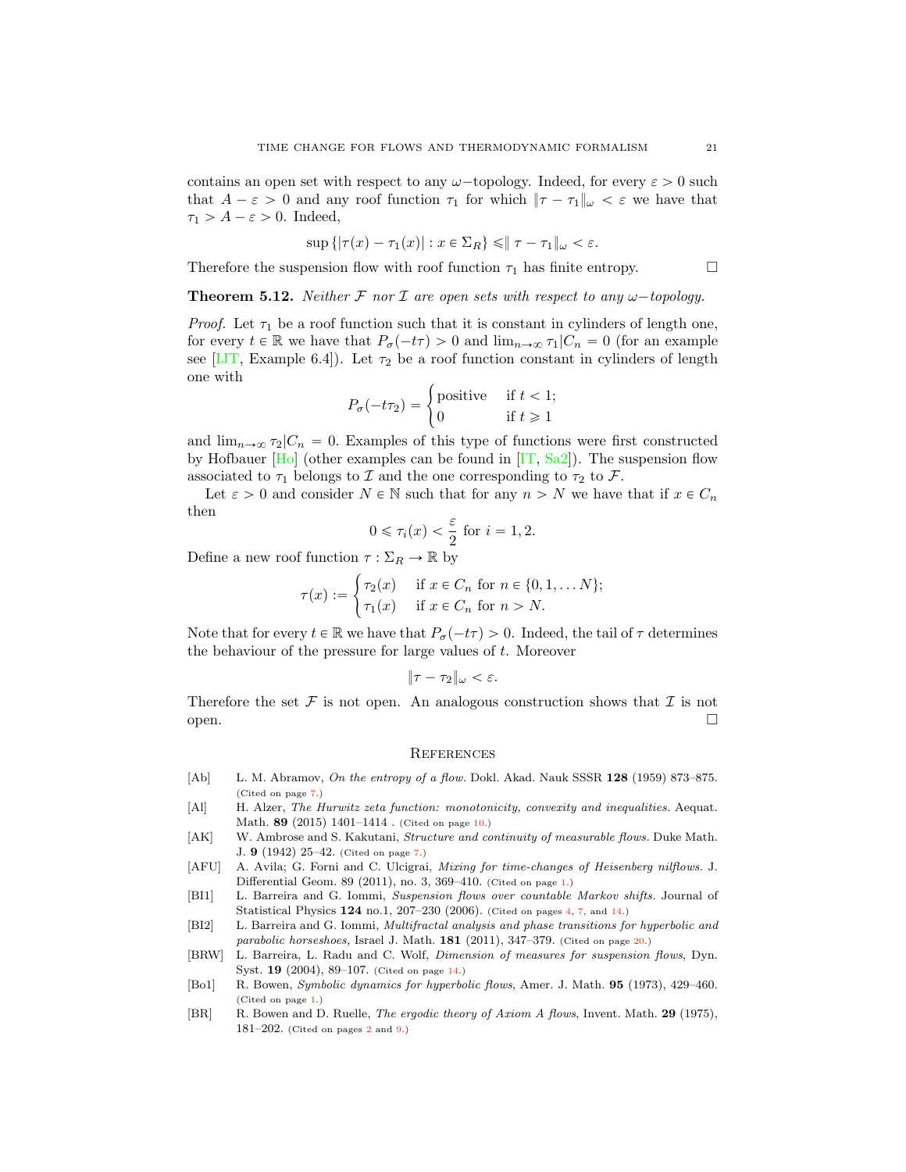<span id="page-20-9"></span>contains an open set with respect to any  $\omega$ -topology. Indeed, for every  $\varepsilon > 0$  such that  $A - \varepsilon > 0$  and any roof function  $\tau_1$  for which  $\|\tau - \tau_1\|_{\omega} < \varepsilon$  we have that  $\tau_1 > A - \varepsilon > 0$ . Indeed,

$$
\sup\left\{\left|\tau(x)-\tau_1(x)\right|:x\in\Sigma_R\right\}\leqslant\left\|\tau-\tau_1\right\|_{\omega}<\varepsilon.
$$

Therefore the suspension flow with roof function  $\tau_1$  has finite entropy.  $\Box$ 

**Theorem 5.12.** Neither F nor I are open sets with respect to any  $\omega$ -topology.

*Proof.* Let  $\tau_1$  be a roof function such that it is constant in cylinders of length one, for every  $t \in \mathbb{R}$  we have that  $P_{\sigma}(-t\tau) > 0$  and  $\lim_{n \to \infty} \tau_1|C_n = 0$  (for an example see [\[IJT,](#page-21-17) Example 6.4]). Let  $\tau_2$  be a roof function constant in cylinders of length one with

$$
P_{\sigma}(-t\tau_2) = \begin{cases} \text{positive} & \text{if } t < 1; \\ 0 & \text{if } t \ge 1 \end{cases}
$$

and  $\lim_{n\to\infty} \tau_2|C_n = 0$ . Examples of this type of functions were first constructed by Hofbauer  $[H_0]$  (other examples can be found in  $[IT, Sa2]$  $[IT, Sa2]$  $[IT, Sa2]$ ). The suspension flow associated to  $\tau_1$  belongs to I and the one corresponding to  $\tau_2$  to F.

Let  $\varepsilon > 0$  and consider  $N \in \mathbb{N}$  such that for any  $n > N$  we have that if  $x \in C_n$ then

$$
0 \le \tau_i(x) < \frac{\varepsilon}{2} \text{ for } i = 1, 2.
$$

Define a new roof function  $\tau : \Sigma_R \to \mathbb{R}$  by

$$
\tau(x) := \begin{cases} \tau_2(x) & \text{if } x \in C_n \text{ for } n \in \{0, 1, \dots N\}; \\ \tau_1(x) & \text{if } x \in C_n \text{ for } n > N. \end{cases}
$$

Note that for every  $t \in \mathbb{R}$  we have that  $P_{\sigma}(-t\tau) > 0$ . Indeed, the tail of  $\tau$  determines the behaviour of the pressure for large values of  $t$ . Moreover

$$
\|\tau-\tau_2\|_{\omega}<\varepsilon.
$$

Therefore the set  $\mathcal F$  is not open. An analogous construction shows that  $\mathcal I$  is not open.  $open.$ 

#### **REFERENCES**

- <span id="page-20-5"></span>[Ab] L. M. Abramov, On the entropy of a flow. Dokl. Akad. Nauk SSSR 128 (1959) 873-875. (Cited on page [7.](#page-6-1))
- <span id="page-20-6"></span>[Al] H. Alzer, The Hurwitz zeta function: monotonicity, convexity and inequalities. Aequat. Math. **89** (2015) 1401-1414 . (Cited on page [10.](#page-9-7))
- <span id="page-20-4"></span>[AK] W. Ambrose and S. Kakutani, Structure and continuity of measurable flows. Duke Math. J. 9 (1942) 25–42. (Cited on page [7.](#page-6-1))
- <span id="page-20-0"></span>[AFU] A. Avila; G. Forni and C. Ulcigrai, Mixing for time-changes of Heisenberg nilflows. J. Differential Geom. 89 (2011), no. 3, 369–410. (Cited on page [1.](#page-0-0))
- <span id="page-20-3"></span>[BI1] L. Barreira and G. Iommi, Suspension flows over countable Markov shifts. Journal of Statistical Physics 124 no.1, 207–230 (2006). (Cited on pages [4,](#page-3-4) [7,](#page-6-1) and [14.](#page-13-1))
- <span id="page-20-8"></span>[BI2] L. Barreira and G. Iommi, Multifractal analysis and phase transitions for hyperbolic and parabolic horseshoes, Israel J. Math. 181 (2011), 347-379. (Cited on page [20.](#page-19-0))
- <span id="page-20-7"></span>[BRW] L. Barreira, L. Radu and C. Wolf, Dimension of measures for suspension flows, Dyn. Syst. 19 (2004), 89–107. (Cited on page [14.](#page-13-1))
- <span id="page-20-1"></span>[Bo1] R. Bowen, Symbolic dynamics for hyperbolic flows, Amer. J. Math. 95 (1973), 429–460. (Cited on page [1.](#page-0-0))
- <span id="page-20-2"></span>[BR] R. Bowen and D. Ruelle, The ergodic theory of Axiom A flows, Invent. Math. 29 (1975), 181–[2](#page-1-0)02. (Cited on pages  $2$  and  $9$ .)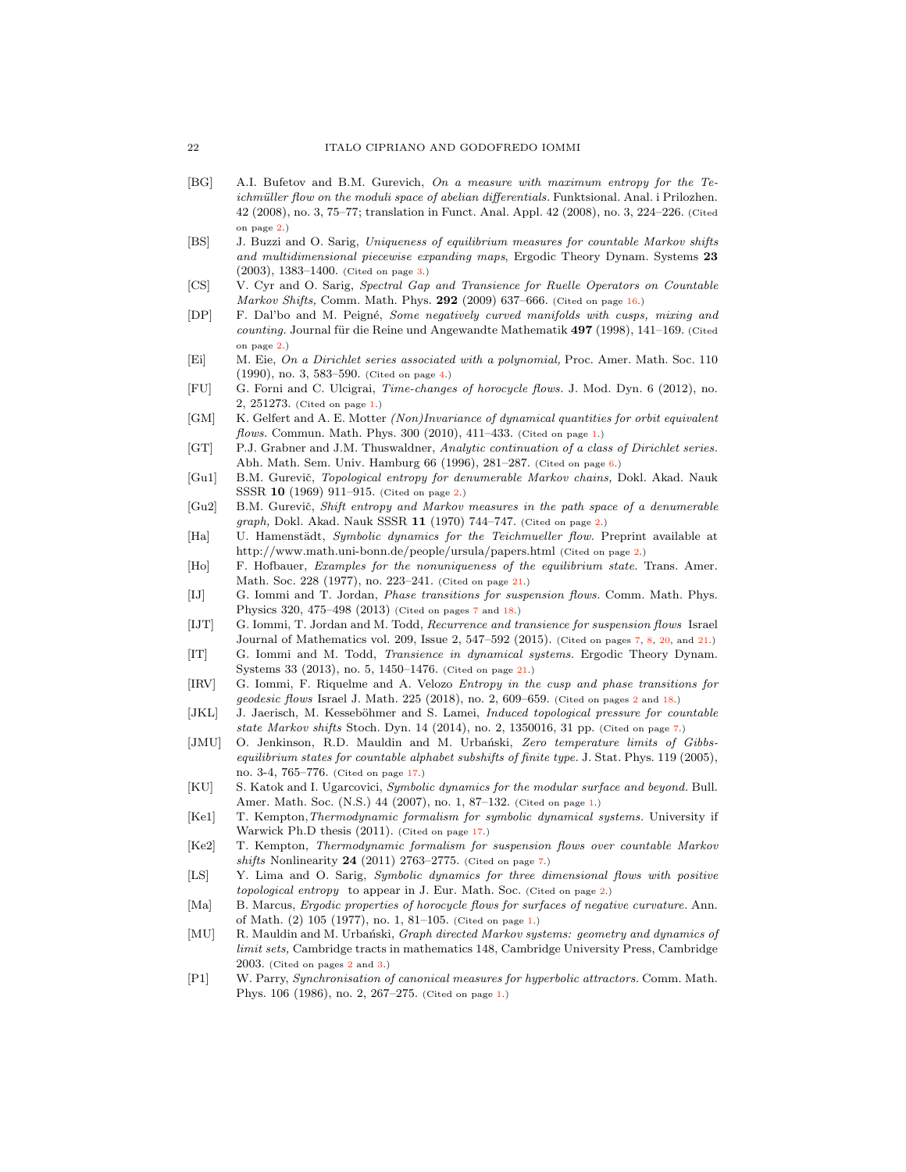- <span id="page-21-9"></span>[BG] A.I. Bufetov and B.M. Gurevich, On a measure with maximum entropy for the Teichmüller flow on the moduli space of abelian differentials. Funktsional. Anal. i Prilozhen. 42 (2008), no. 3, 75–77; translation in Funct. Anal. Appl. 42 (2008), no. 3, 224–226. (Cited on page [2.](#page-1-0))
- <span id="page-21-13"></span>[BS] J. Buzzi and O. Sarig, Uniqueness of equilibrium measures for countable Markov shifts and multidimensional piecewise expanding maps, Ergodic Theory Dynam. Systems 23 (2003), 1383–1400. (Cited on page [3.](#page-2-2))
- <span id="page-21-20"></span>[CS] V. Cyr and O. Sarig, Spectral Gap and Transience for Ruelle Operators on Countable Markov Shifts, Comm. Math. Phys. 292 (2009) 637–666. (Cited on page [16.](#page-15-1))
- <span id="page-21-7"></span>[DP] F. Dal'bo and M. Peigné, Some negatively curved manifolds with cusps, mixing and counting. Journal für die Reine und Angewandte Mathematik  $497$  (1998), 141–169. (Cited on page [2.](#page-1-0))
- <span id="page-21-14"></span>[Ei] M. Eie, On a Dirichlet series associated with a polynomial, Proc. Amer. Math. Soc. 110 (1990), no. 3, 583–590. (Cited on page [4.](#page-3-4))
- <span id="page-21-1"></span>[FU] G. Forni and C. Ulcigrai, Time-changes of horocycle flows. J. Mod. Dyn. 6 (2012), no. 2, 251273. (Cited on page [1.](#page-0-0))
- <span id="page-21-3"></span>[GM] K. Gelfert and A. E. Motter (Non)Invariance of dynamical quantities for orbit equivalent flows. Commun. Math. Phys. 300 (2010), 411-433. (Cited on page [1.](#page-0-0))
- <span id="page-21-15"></span>[GT] P.J. Grabner and J.M. Thuswaldner, Analytic continuation of a class of Dirichlet series. Abh. Math. Sem. Univ. Hamburg 66 (1996), 281–287. (Cited on page [6.](#page-5-2))
- <span id="page-21-11"></span>[Gu1] B.M. Gurevič, Topological entropy for denumerable Markov chains, Dokl. Akad. Nauk SSSR 10 (1969) 911–915. (Cited on page [2.](#page-1-0))
- <span id="page-21-12"></span>[Gu2] B.M. Gurevič, Shift entropy and Markov measures in the path space of a denumerable graph, Dokl. Akad. Nauk SSSR 11 (1970) 744–747. (Cited on page [2.](#page-1-0))
- <span id="page-21-10"></span>[Ha] U. Hamenstädt, Symbolic dynamics for the Teichmueller flow. Preprint available at http://www.math.uni-bonn.de/people/ursula/papers.html (Cited on page [2.](#page-1-0))
- <span id="page-21-23"></span>[Ho] F. Hofbauer, Examples for the nonuniqueness of the equilibrium state. Trans. Amer. Math. Soc. 228 (1977), no. 223–241. (Cited on page [21.](#page-20-9))
- <span id="page-21-16"></span>[IJ] G. Iommi and T. Jordan, Phase transitions for suspension flows. Comm. Math. Phys. Physics 320, 475–498 (2013) (Cited on pages [7](#page-6-1) and [18.](#page-17-1))
- <span id="page-21-17"></span>[IJT] G. Iommi, T. Jordan and M. Todd, Recurrence and transience for suspension flows Israel Journal of Mathematics vol. 209, Issue 2, 547–592 (2015). (Cited on pages [7,](#page-6-1) [8,](#page-7-2) [20,](#page-19-0) and [21.](#page-20-9))
- <span id="page-21-24"></span>[IT] G. Iommi and M. Todd, Transience in dynamical systems. Ergodic Theory Dynam. Systems 33 (2013), no. 5, 1450–1476. (Cited on page [21.](#page-20-9))
- <span id="page-21-8"></span>[IRV] G. Iommi, F. Riquelme and A. Velozo Entropy in the cusp and phase transitions for geodesic flows Israel J. Math. 225 (2018), no. 2, 609–659. (Cited on pages [2](#page-1-0) and [18.](#page-17-1))
- <span id="page-21-18"></span>[JKL] J. Jaerisch, M. Kesseböhmer and S. Lamei, *Induced topological pressure for countable* state Markov shifts Stoch. Dyn. 14 (2014), no. 2, 1350016, 31 pp. (Cited on page [7.](#page-6-1))
- <span id="page-21-22"></span>[JMU] O. Jenkinson, R.D. Mauldin and M. Urbański, Zero temperature limits of Gibbsequilibrium states for countable alphabet subshifts of finite type. J. Stat. Phys. 119 (2005), no. 3-4, 765–776. (Cited on page [17.](#page-16-1))
- <span id="page-21-4"></span>[KU] S. Katok and I. Ugarcovici, Symbolic dynamics for the modular surface and beyond. Bull. Amer. Math. Soc. (N.S.) 44 (2007), no. 1, 87–132. (Cited on page [1.](#page-0-0))
- <span id="page-21-21"></span>[Ke1] T. Kempton,Thermodynamic formalism for symbolic dynamical systems. University if Warwick Ph.D thesis (2011). (Cited on page [17.](#page-16-1))
- <span id="page-21-19"></span>[Ke2] T. Kempton, Thermodynamic formalism for suspension flows over countable Markov shifts Nonlinearity  $24$  (2011) 2763-2775. (Cited on page [7.](#page-6-1))
- <span id="page-21-6"></span>[LS] Y. Lima and O. Sarig, *Symbolic dynamics for three dimensional flows with positive* topological entropy to appear in J. Eur. Math. Soc. (Cited on page [2.](#page-1-0))
- <span id="page-21-0"></span>[Ma] B. Marcus, Ergodic properties of horocycle flows for surfaces of negative curvature. Ann. of Math. (2) 105 (1977), no. 1, 81–105. (Cited on page [1.](#page-0-0))
- <span id="page-21-5"></span>[MU] R. Mauldin and M. Urbański, *Graph directed Markov systems: geometry and dynamics of* limit sets, Cambridge tracts in mathematics 148, Cambridge University Press, Cambridge 2003. (Cited on pages [2](#page-1-0) and [3.](#page-2-2))
- <span id="page-21-2"></span>[P1] W. Parry, Synchronisation of canonical measures for hyperbolic attractors. Comm. Math. Phys. 106 (1986), no. 2, 267–275. (Cited on page [1.](#page-0-0))